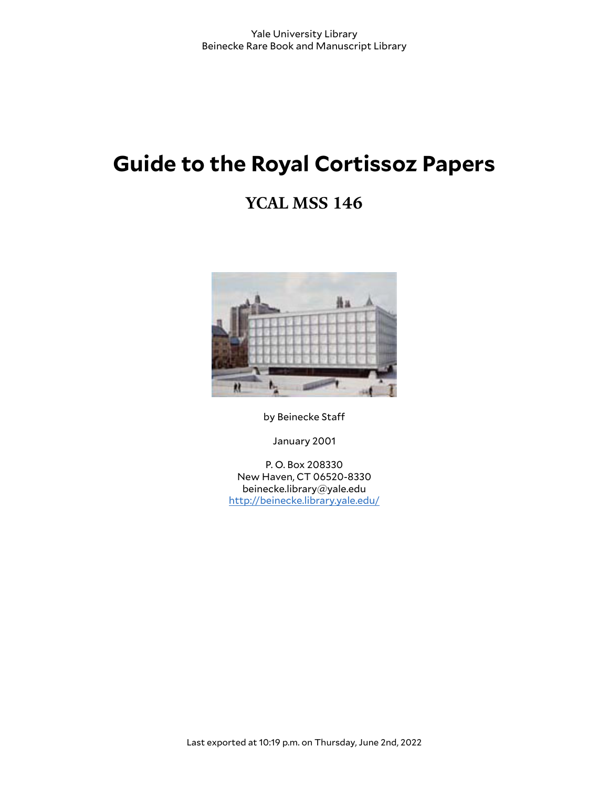# **Guide to the Royal Cortissoz Papers**

# **YCAL MSS 146**



by Beinecke Staff

January 2001

P. O. Box 208330 New Haven, CT 06520-8330 beinecke.library@yale.edu <http://beinecke.library.yale.edu/>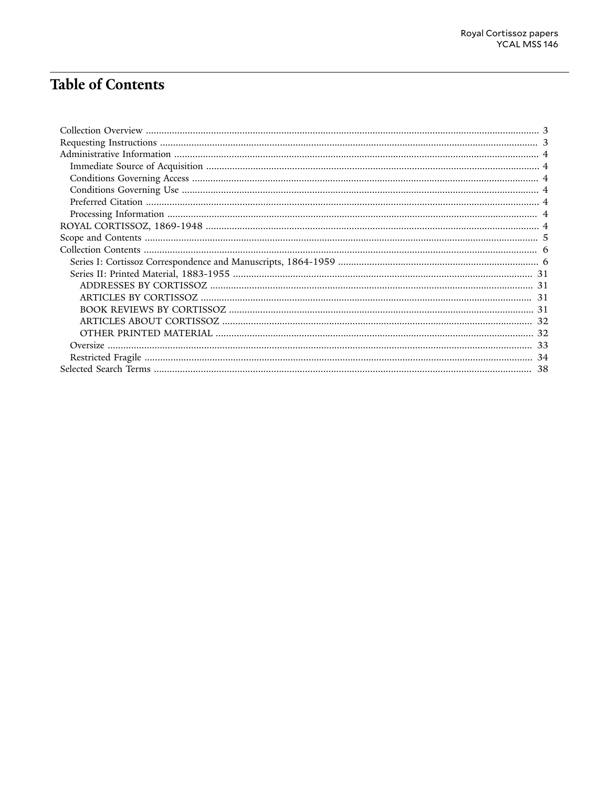# **Table of Contents**

| 38 |
|----|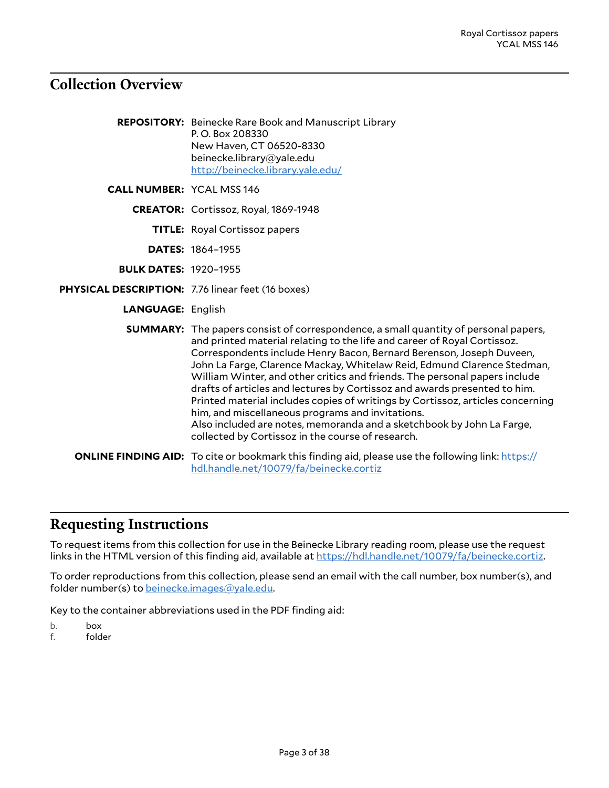## <span id="page-2-0"></span>**Collection Overview**

|                                                   | <b>REPOSITORY:</b> Beinecke Rare Book and Manuscript Library<br>P.O. Box 208330<br>New Haven, CT 06520-8330<br>beinecke.library@yale.edu<br>http://beinecke.library.yale.edu/                                                                                                                                                                                                                                                                                                                                                                                                                                                                                                                                                                            |
|---------------------------------------------------|----------------------------------------------------------------------------------------------------------------------------------------------------------------------------------------------------------------------------------------------------------------------------------------------------------------------------------------------------------------------------------------------------------------------------------------------------------------------------------------------------------------------------------------------------------------------------------------------------------------------------------------------------------------------------------------------------------------------------------------------------------|
| <b>CALL NUMBER: YCAL MSS 146</b>                  |                                                                                                                                                                                                                                                                                                                                                                                                                                                                                                                                                                                                                                                                                                                                                          |
|                                                   | <b>CREATOR:</b> Cortissoz, Royal, 1869-1948                                                                                                                                                                                                                                                                                                                                                                                                                                                                                                                                                                                                                                                                                                              |
|                                                   | <b>TITLE:</b> Royal Cortissoz papers                                                                                                                                                                                                                                                                                                                                                                                                                                                                                                                                                                                                                                                                                                                     |
|                                                   | <b>DATES: 1864-1955</b>                                                                                                                                                                                                                                                                                                                                                                                                                                                                                                                                                                                                                                                                                                                                  |
| <b>BULK DATES: 1920-1955</b>                      |                                                                                                                                                                                                                                                                                                                                                                                                                                                                                                                                                                                                                                                                                                                                                          |
| PHYSICAL DESCRIPTION: 7.76 linear feet (16 boxes) |                                                                                                                                                                                                                                                                                                                                                                                                                                                                                                                                                                                                                                                                                                                                                          |
| <b>LANGUAGE: English</b>                          |                                                                                                                                                                                                                                                                                                                                                                                                                                                                                                                                                                                                                                                                                                                                                          |
|                                                   | <b>SUMMARY:</b> The papers consist of correspondence, a small quantity of personal papers,<br>and printed material relating to the life and career of Royal Cortissoz.<br>Correspondents include Henry Bacon, Bernard Berenson, Joseph Duveen,<br>John La Farge, Clarence Mackay, Whitelaw Reid, Edmund Clarence Stedman,<br>William Winter, and other critics and friends. The personal papers include<br>drafts of articles and lectures by Cortissoz and awards presented to him.<br>Printed material includes copies of writings by Cortissoz, articles concerning<br>him, and miscellaneous programs and invitations.<br>Also included are notes, memoranda and a sketchbook by John La Farge,<br>collected by Cortissoz in the course of research. |
|                                                   | <b>ONLINE FINDING AID:</b> To cite or bookmark this finding aid, please use the following link: https://<br>hdl.handle.net/10079/fa/beinecke.cortiz                                                                                                                                                                                                                                                                                                                                                                                                                                                                                                                                                                                                      |

## <span id="page-2-1"></span>**Requesting Instructions**

To request items from this collection for use in the Beinecke Library reading room, please use the request links in the HTML version of this finding aid, available at [https://hdl.handle.net/10079/fa/beinecke.cortiz.](https://hdl.handle.net/10079/fa/beinecke.cortiz)

To order reproductions from this collection, please send an email with the call number, box number(s), and folder number(s) to [beinecke.images@yale.edu.](mailto:beinecke.images@yale.edu)

Key to the container abbreviations used in the PDF finding aid:

- b. box<br>f. fold
- folder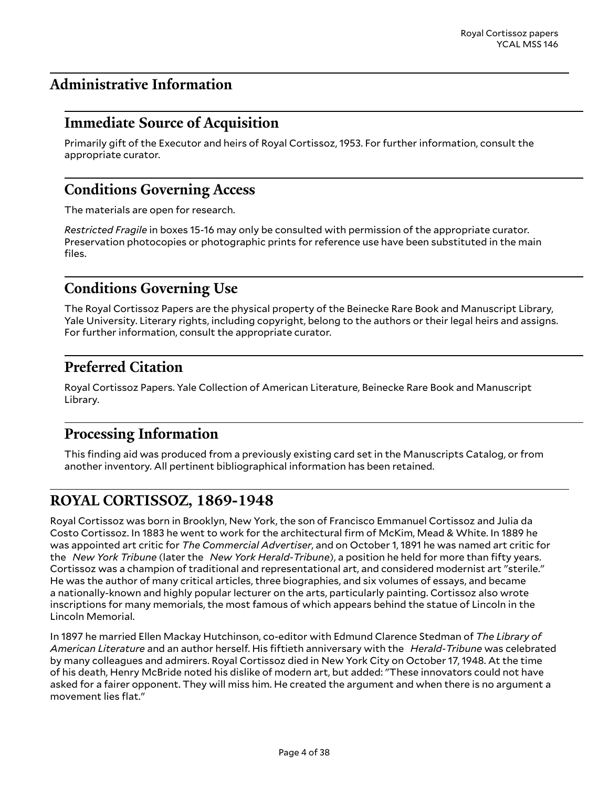# <span id="page-3-0"></span>**Administrative Information**

### <span id="page-3-1"></span>**Immediate Source of Acquisition**

Primarily gift of the Executor and heirs of Royal Cortissoz, 1953. For further information, consult the appropriate curator.

### <span id="page-3-2"></span>**Conditions Governing Access**

The materials are open for research.

*Restricted Fragile* in boxes 15-16 may only be consulted with permission of the appropriate curator. Preservation photocopies or photographic prints for reference use have been substituted in the main files.

## <span id="page-3-3"></span>**Conditions Governing Use**

The Royal Cortissoz Papers are the physical property of the Beinecke Rare Book and Manuscript Library, Yale University. Literary rights, including copyright, belong to the authors or their legal heirs and assigns. For further information, consult the appropriate curator.

## <span id="page-3-4"></span>**Preferred Citation**

Royal Cortissoz Papers. Yale Collection of American Literature, Beinecke Rare Book and Manuscript Library.

### <span id="page-3-5"></span>**Processing Information**

This finding aid was produced from a previously existing card set in the Manuscripts Catalog, or from another inventory. All pertinent bibliographical information has been retained.

### <span id="page-3-6"></span>**ROYAL CORTISSOZ, 1869-1948**

Royal Cortissoz was born in Brooklyn, New York, the son of Francisco Emmanuel Cortissoz and Julia da Costo Cortissoz. In 1883 he went to work for the architectural firm of McKim, Mead & White. In 1889 he was appointed art critic for *The Commercial Advertiser*, and on October 1, 1891 he was named art critic for the *New York Tribune* (later the *New York Herald-Tribune*), a position he held for more than fifty years. Cortissoz was a champion of traditional and representational art, and considered modernist art "sterile." He was the author of many critical articles, three biographies, and six volumes of essays, and became a nationally-known and highly popular lecturer on the arts, particularly painting. Cortissoz also wrote inscriptions for many memorials, the most famous of which appears behind the statue of Lincoln in the Lincoln Memorial.

In 1897 he married Ellen Mackay Hutchinson, co-editor with Edmund Clarence Stedman of *The Library of American Literature* and an author herself. His fiftieth anniversary with the *Herald-Tribune* was celebrated by many colleagues and admirers. Royal Cortissoz died in New York City on October 17, 1948. At the time of his death, Henry McBride noted his dislike of modern art, but added: "These innovators could not have asked for a fairer opponent. They will miss him. He created the argument and when there is no argument a movement lies flat."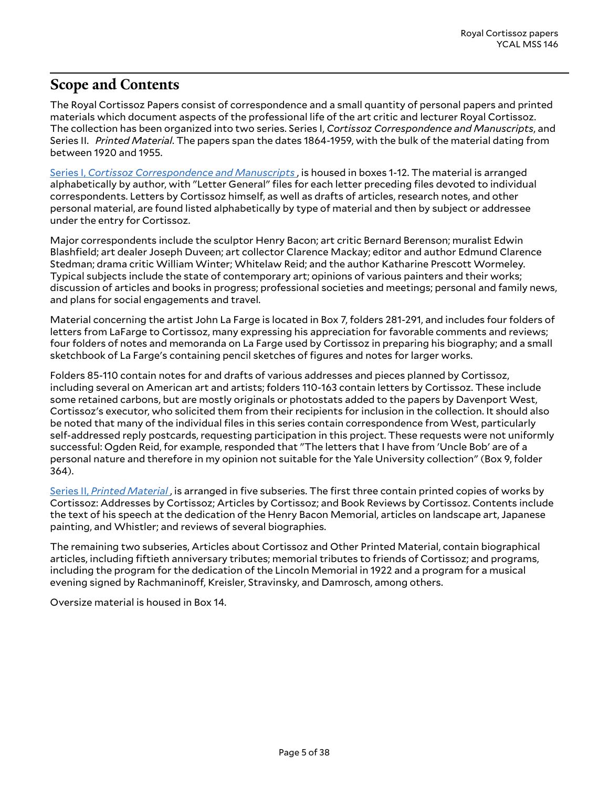## <span id="page-4-0"></span>**Scope and Contents**

The Royal Cortissoz Papers consist of correspondence and a small quantity of personal papers and printed materials which document aspects of the professional life of the art critic and lecturer Royal Cortissoz. The collection has been organized into two series. Series I, *Cortissoz Correspondence and Manuscripts*, and Series II. *Printed Material*. The papers span the dates 1864-1959, with the bulk of the material dating from between 1920 and 1955.

Series I, *Cortissoz [Correspondence](#page-5-1) and Manuscripts* , is housed in boxes 1-12. The material is arranged alphabetically by author, with "Letter General" files for each letter preceding files devoted to individual correspondents. Letters by Cortissoz himself, as well as drafts of articles, research notes, and other personal material, are found listed alphabetically by type of material and then by subject or addressee under the entry for Cortissoz.

Major correspondents include the sculptor Henry Bacon; art critic Bernard Berenson; muralist Edwin Blashfield; art dealer Joseph Duveen; art collector Clarence Mackay; editor and author Edmund Clarence Stedman; drama critic William Winter; Whitelaw Reid; and the author Katharine Prescott Wormeley. Typical subjects include the state of contemporary art; opinions of various painters and their works; discussion of articles and books in progress; professional societies and meetings; personal and family news, and plans for social engagements and travel.

Material concerning the artist John La Farge is located in Box 7, folders 281-291, and includes four folders of letters from LaFarge to Cortissoz, many expressing his appreciation for favorable comments and reviews; four folders of notes and memoranda on La Farge used by Cortissoz in preparing his biography; and a small sketchbook of La Farge's containing pencil sketches of figures and notes for larger works.

Folders 85-110 contain notes for and drafts of various addresses and pieces planned by Cortissoz, including several on American art and artists; folders 110-163 contain letters by Cortissoz. These include some retained carbons, but are mostly originals or photostats added to the papers by Davenport West, Cortissoz's executor, who solicited them from their recipients for inclusion in the collection. It should also be noted that many of the individual files in this series contain correspondence from West, particularly self-addressed reply postcards, requesting participation in this project. These requests were not uniformly successful: Ogden Reid, for example, responded that "The letters that I have from 'Uncle Bob' are of a personal nature and therefore in my opinion not suitable for the Yale University collection" (Box 9, folder 364).

[Series II,](#page-30-0) *Printed Material* , is arranged in five subseries. The first three contain printed copies of works by Cortissoz: Addresses by Cortissoz; Articles by Cortissoz; and Book Reviews by Cortissoz. Contents include the text of his speech at the dedication of the Henry Bacon Memorial, articles on landscape art, Japanese painting, and Whistler; and reviews of several biographies.

The remaining two subseries, Articles about Cortissoz and Other Printed Material, contain biographical articles, including fiftieth anniversary tributes; memorial tributes to friends of Cortissoz; and programs, including the program for the dedication of the Lincoln Memorial in 1922 and a program for a musical evening signed by Rachmaninoff, Kreisler, Stravinsky, and Damrosch, among others.

Oversize material is housed in Box 14.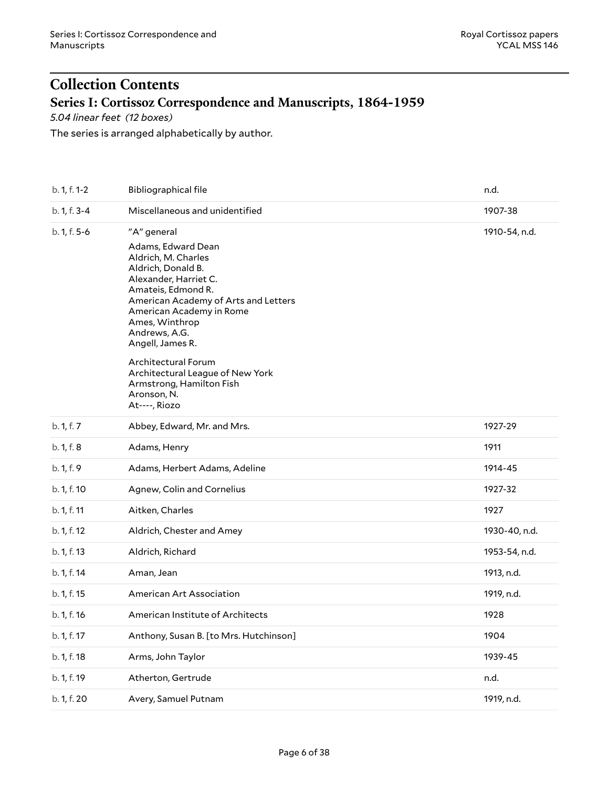# <span id="page-5-0"></span>**Collection Contents Series I: Cortissoz Correspondence and Manuscripts, 1864-1959**

<span id="page-5-1"></span>*5.04 linear feet (12 boxes)*

The series is arranged alphabetically by author.

| b. 1, f. 1-2 | <b>Bibliographical file</b>                                                                                                                                                                                                                                                                                                                                                     | n.d.          |
|--------------|---------------------------------------------------------------------------------------------------------------------------------------------------------------------------------------------------------------------------------------------------------------------------------------------------------------------------------------------------------------------------------|---------------|
| b. 1, f. 3-4 | Miscellaneous and unidentified                                                                                                                                                                                                                                                                                                                                                  | 1907-38       |
| b. 1, f. 5-6 | "A" general<br>Adams, Edward Dean<br>Aldrich, M. Charles<br>Aldrich, Donald B.<br>Alexander, Harriet C.<br>Amateis, Edmond R.<br>American Academy of Arts and Letters<br>American Academy in Rome<br>Ames, Winthrop<br>Andrews, A.G.<br>Angell, James R.<br>Architectural Forum<br>Architectural League of New York<br>Armstrong, Hamilton Fish<br>Aronson, N.<br>At----, Riozo | 1910-54, n.d. |
| b. 1, f. 7   | Abbey, Edward, Mr. and Mrs.                                                                                                                                                                                                                                                                                                                                                     | 1927-29       |
| b. 1, f. 8   | Adams, Henry                                                                                                                                                                                                                                                                                                                                                                    | 1911          |
| b. 1, f. 9   | Adams, Herbert Adams, Adeline                                                                                                                                                                                                                                                                                                                                                   | 1914-45       |
| b. 1, f. 10  | Agnew, Colin and Cornelius                                                                                                                                                                                                                                                                                                                                                      | 1927-32       |
| b. 1, f. 11  | Aitken, Charles                                                                                                                                                                                                                                                                                                                                                                 | 1927          |
| b. 1, f. 12  | Aldrich, Chester and Amey                                                                                                                                                                                                                                                                                                                                                       | 1930-40, n.d. |
| b. 1, f. 13  | Aldrich, Richard                                                                                                                                                                                                                                                                                                                                                                | 1953-54, n.d. |
| b. 1, f. 14  | Aman, Jean                                                                                                                                                                                                                                                                                                                                                                      | 1913, n.d.    |
| b. 1, f. 15  | American Art Association                                                                                                                                                                                                                                                                                                                                                        | 1919, n.d.    |
| b. 1, f. 16  | American Institute of Architects                                                                                                                                                                                                                                                                                                                                                | 1928          |
| b. 1, f. 17  | Anthony, Susan B. [to Mrs. Hutchinson]                                                                                                                                                                                                                                                                                                                                          | 1904          |
| b. 1, f. 18  | Arms, John Taylor                                                                                                                                                                                                                                                                                                                                                               | 1939-45       |
| b. 1, f. 19  | Atherton, Gertrude                                                                                                                                                                                                                                                                                                                                                              | n.d.          |
| b. 1, f. 20  | Avery, Samuel Putnam                                                                                                                                                                                                                                                                                                                                                            | 1919, n.d.    |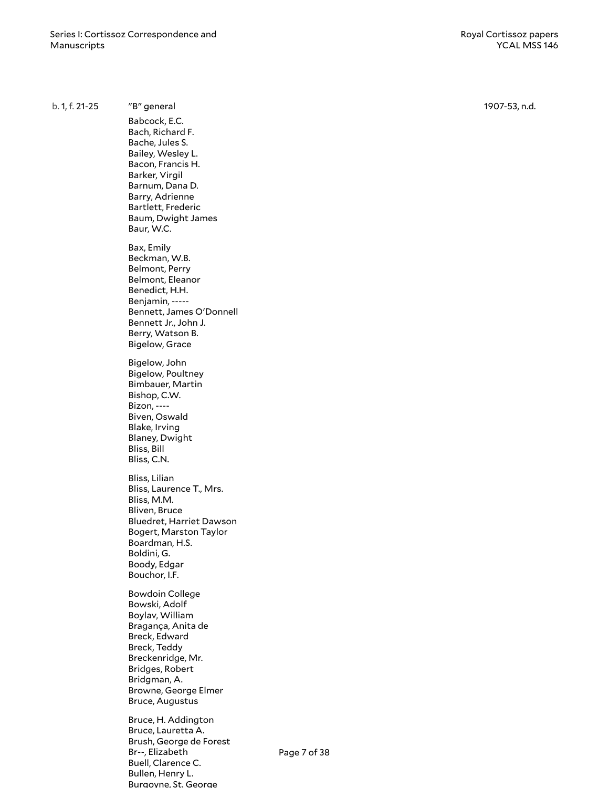b. 1, f. 21-25 "B" general Babcock, E. C . Bach, Richard F. Bache, Jules S. Bailey, Wesley L. Bacon, Francis H. Barker, Virgil Barnum, Dan a D . Barry, Adrienne Bartlett, Frederic Baum, Dwight James Baur, W.C. B a x , E m ily Beckman, W.B. Belmont, Perry Belmont, Eleanor Benedict, H.H. Benjamin, -----Bennett, James O'Donnell Bennett Jr., John J. Berry, Watson B. Bigelow, Grace Bigelow, John Bigelow, Poultney Bimbauer, Martin Bishop, C.W. Bizon, ---- Biven, Oswald Blake, Irving Blaney, Dwight Bliss, Bill Bliss, C.N. Bliss, Lilian Bliss, Laurence T., Mrs. Bliss, M.M. Bliven, Bruce Bluedret, Harriet Dawson Bogert, Marston Taylor Boardman, H.S. Boldini, G. Boody, Edgar Bouchor, I.F. Bowdoin College Bowski, Adolf Boylav, William Bragança, Anita de Breck, Edward Breck, Teddy Breckenridge, Mr. Bridges, Robert Bridgman, A. Browne, George Elmer Bruce, Augustus Bruce, H. Addington Bruce, Lauretta A. Brush, George de Forest Br--, Elizabeth Buell, Clarence C. Bullen, Henry L. 1907-53, n.d. Page 7 of 38

Burgoyne, St. George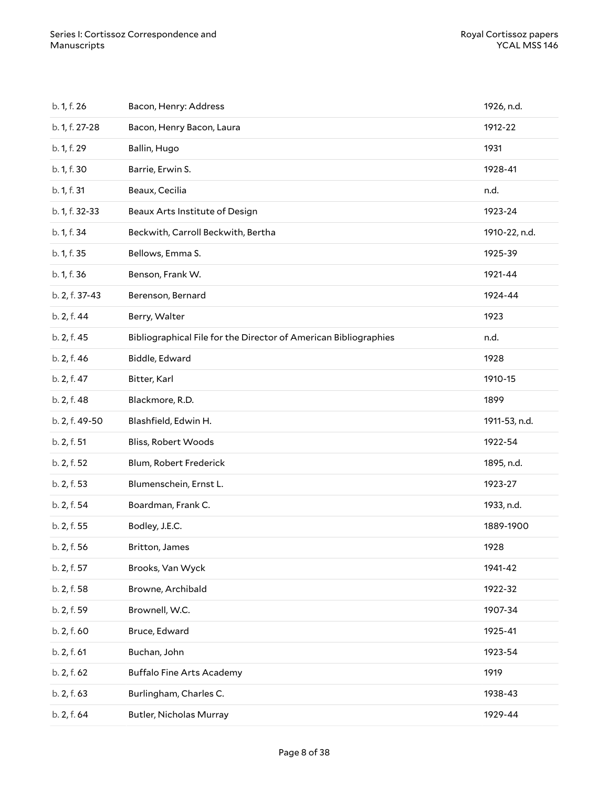| b. 1, f. 26    | Bacon, Henry: Address                                            | 1926, n.d.    |
|----------------|------------------------------------------------------------------|---------------|
| b. 1, f. 27-28 | Bacon, Henry Bacon, Laura                                        | 1912-22       |
| b. 1, f. 29    | Ballin, Hugo                                                     | 1931          |
| b. 1, f. 30    | Barrie, Erwin S.                                                 | 1928-41       |
| b. 1, f. 31    | Beaux, Cecilia                                                   | n.d.          |
| b. 1, f. 32-33 | Beaux Arts Institute of Design                                   | 1923-24       |
| b. 1, f. 34    | Beckwith, Carroll Beckwith, Bertha                               | 1910-22, n.d. |
| b. 1, f. 35    | Bellows, Emma S.                                                 | 1925-39       |
| b. 1, f. 36    | Benson, Frank W.                                                 | 1921-44       |
| b. 2, f. 37-43 | Berenson, Bernard                                                | 1924-44       |
| b. 2, f. 44    | Berry, Walter                                                    | 1923          |
| b. 2, f. 45    | Bibliographical File for the Director of American Bibliographies | n.d.          |
| b. 2, f. 46    | Biddle, Edward                                                   | 1928          |
| b. 2, f. 47    | Bitter, Karl                                                     | 1910-15       |
| b. 2, f. 48    | Blackmore, R.D.                                                  | 1899          |
| b. 2, f. 49-50 | Blashfield, Edwin H.                                             | 1911-53, n.d. |
| b. 2, f. 51    | Bliss, Robert Woods                                              | 1922-54       |
| b. 2, f. 52    | Blum, Robert Frederick                                           | 1895, n.d.    |
| b. 2, f. 53    | Blumenschein, Ernst L.                                           | 1923-27       |
| b. 2, f. 54    | Boardman, Frank C.                                               | 1933, n.d.    |
| b. 2, f. 55    | Bodley, J.E.C.                                                   | 1889-1900     |
| b. 2, f. 56    | Britton, James                                                   | 1928          |
| b. 2, f. 57    | Brooks, Van Wyck                                                 | 1941-42       |
| b. 2, f. 58    | Browne, Archibald                                                | 1922-32       |
| b. 2, f. 59    | Brownell, W.C.                                                   | 1907-34       |
| b. 2, f. 60    | Bruce, Edward                                                    | 1925-41       |
| b. 2, f. 61    | Buchan, John                                                     | 1923-54       |
| b. 2, f. 62    | <b>Buffalo Fine Arts Academy</b>                                 | 1919          |
| b. 2, f. 63    | Burlingham, Charles C.                                           | 1938-43       |
|                |                                                                  |               |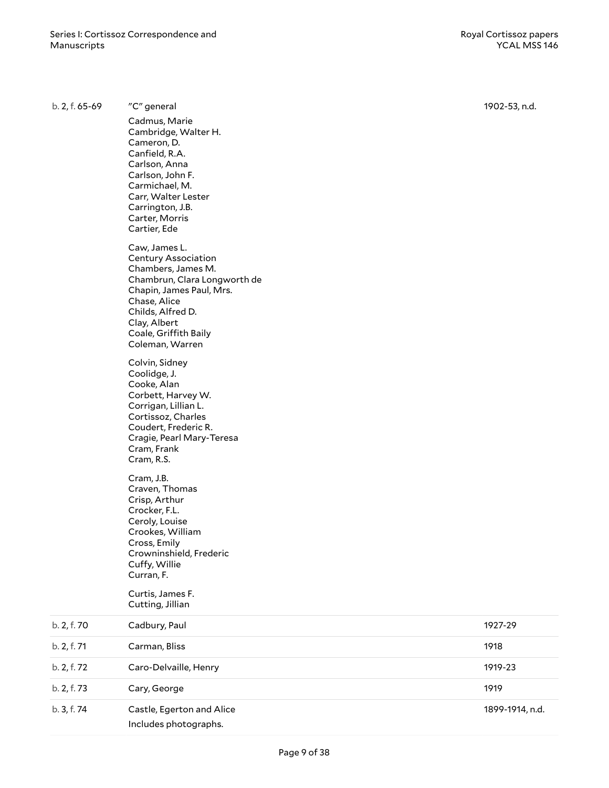| b. 2, f. 65-69 | "C" general                                                                                                                                                                                                                                                                                                                                                                                                                                                                                                                                                                                                                                                                                                                                                                                                                                               | 1902-53, n.d.   |
|----------------|-----------------------------------------------------------------------------------------------------------------------------------------------------------------------------------------------------------------------------------------------------------------------------------------------------------------------------------------------------------------------------------------------------------------------------------------------------------------------------------------------------------------------------------------------------------------------------------------------------------------------------------------------------------------------------------------------------------------------------------------------------------------------------------------------------------------------------------------------------------|-----------------|
|                | Cadmus, Marie<br>Cambridge, Walter H.<br>Cameron, D.<br>Canfield, R.A.<br>Carlson, Anna<br>Carlson, John F.<br>Carmichael, M.<br>Carr, Walter Lester<br>Carrington, J.B.<br>Carter, Morris<br>Cartier, Ede<br>Caw, James L.<br><b>Century Association</b><br>Chambers, James M.<br>Chambrun, Clara Longworth de<br>Chapin, James Paul, Mrs.<br>Chase, Alice<br>Childs, Alfred D.<br>Clay, Albert<br>Coale, Griffith Baily<br>Coleman, Warren<br>Colvin, Sidney<br>Coolidge, J.<br>Cooke, Alan<br>Corbett, Harvey W.<br>Corrigan, Lillian L.<br>Cortissoz, Charles<br>Coudert, Frederic R.<br>Cragie, Pearl Mary-Teresa<br>Cram, Frank<br>Cram, R.S.<br>Cram, J.B.<br>Craven, Thomas<br>Crisp, Arthur<br>Crocker, F.L.<br>Ceroly, Louise<br>Crookes, William<br>Cross, Emily<br>Crowninshield, Frederic<br>Cuffy, Willie<br>Curran, F.<br>Curtis, James F. |                 |
|                | Cutting, Jillian                                                                                                                                                                                                                                                                                                                                                                                                                                                                                                                                                                                                                                                                                                                                                                                                                                          |                 |
| b. 2, f. 70    | Cadbury, Paul                                                                                                                                                                                                                                                                                                                                                                                                                                                                                                                                                                                                                                                                                                                                                                                                                                             | 1927-29         |
| b. 2, f. 71    | Carman, Bliss                                                                                                                                                                                                                                                                                                                                                                                                                                                                                                                                                                                                                                                                                                                                                                                                                                             | 1918            |
| b. 2, f. 72    | Caro-Delvaille, Henry                                                                                                                                                                                                                                                                                                                                                                                                                                                                                                                                                                                                                                                                                                                                                                                                                                     | 1919-23         |
| b. 2, f. 73    | Cary, George                                                                                                                                                                                                                                                                                                                                                                                                                                                                                                                                                                                                                                                                                                                                                                                                                                              | 1919            |
| b. 3, f. 74    | Castle, Egerton and Alice<br>Includes photographs.                                                                                                                                                                                                                                                                                                                                                                                                                                                                                                                                                                                                                                                                                                                                                                                                        | 1899-1914, n.d. |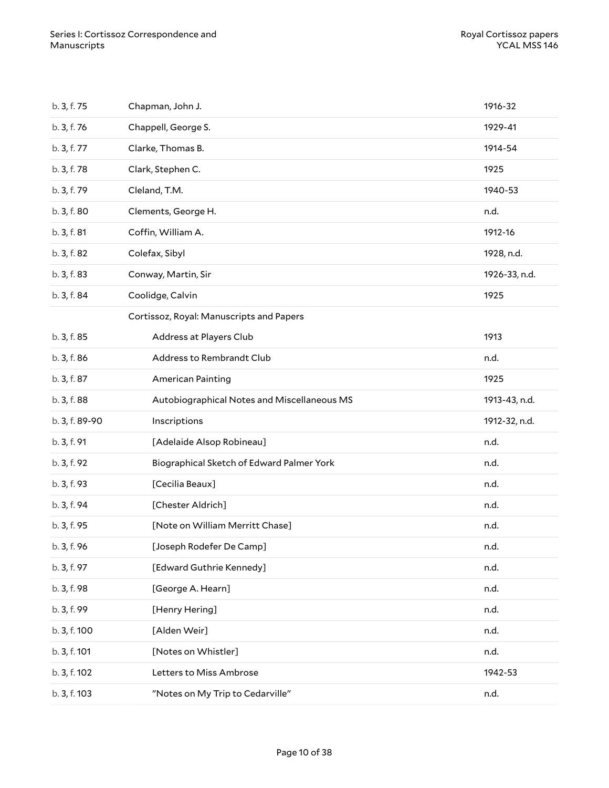| b. 3, f. 75    | Chapman, John J.                            | 1916-32       |
|----------------|---------------------------------------------|---------------|
| b. 3, f. 76    | Chappell, George S.                         | 1929-41       |
| b. 3, f. 77    | Clarke, Thomas B.                           | 1914-54       |
| b. 3, f. 78    | Clark, Stephen C.                           | 1925          |
| b. 3, f. 79    | Cleland, T.M.                               | 1940-53       |
| b. 3, f. 80    | Clements, George H.                         | n.d.          |
| b. 3, f. 81    | Coffin, William A.                          | 1912-16       |
| b. 3, f. 82    | Colefax, Sibyl                              | 1928, n.d.    |
| b. 3, f. 83    | Conway, Martin, Sir                         | 1926-33, n.d. |
| b. 3, f. 84    | Coolidge, Calvin                            | 1925          |
|                | Cortissoz, Royal: Manuscripts and Papers    |               |
| b. 3, f. 85    | Address at Players Club                     | 1913          |
| b. 3, f. 86    | Address to Rembrandt Club                   | n.d.          |
| b. 3, f. 87    | <b>American Painting</b>                    | 1925          |
| b. 3, f. 88    | Autobiographical Notes and Miscellaneous MS | 1913-43, n.d. |
| b. 3, f. 89-90 | Inscriptions                                | 1912-32, n.d. |
| b. 3, f. 91    | [Adelaide Alsop Robineau]                   | n.d.          |
| b. 3, f. 92    | Biographical Sketch of Edward Palmer York   | n.d.          |
| b. 3, f. 93    | [Cecilia Beaux]                             | n.d.          |
| b. 3, f. 94    | [Chester Aldrich]                           | n.d.          |
| b. 3, f. 95    | [Note on William Merritt Chase]             | n.d.          |
| b. 3, f. 96    | [Joseph Rodefer De Camp]                    | n.d.          |
| b. 3, f. 97    | [Edward Guthrie Kennedy]                    | n.d.          |
| b. 3, f. 98    | [George A. Hearn]                           | n.d.          |
| b. 3, f. 99    | [Henry Hering]                              | n.d.          |
| b. 3, f. 100   | [Alden Weir]                                | n.d.          |
| b. 3, f. 101   | [Notes on Whistler]                         | n.d.          |
| b. 3, f. 102   | Letters to Miss Ambrose                     | 1942-53       |
| b. 3, f. 103   | "Notes on My Trip to Cedarville"            | n.d.          |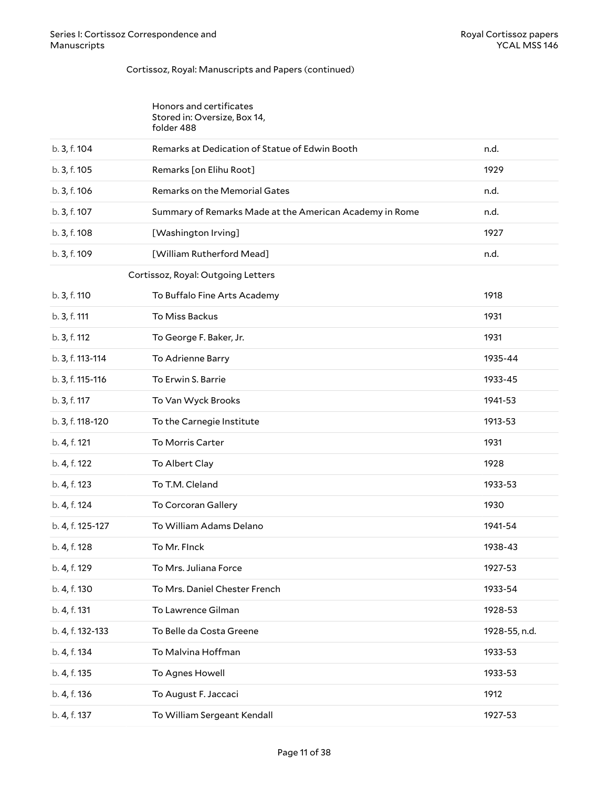#### Cortissoz, Royal: Manuscripts and Papers (continued)

| Honors and certificates      |
|------------------------------|
| Stored in: Oversize, Box 14, |
| folder 488                   |

| b. 3, f. 104     | Remarks at Dedication of Statue of Edwin Booth          | n.d.          |
|------------------|---------------------------------------------------------|---------------|
| b. 3, f. 105     | Remarks [on Elihu Root]                                 | 1929          |
| b. 3, f. 106     | Remarks on the Memorial Gates                           | n.d.          |
| b. 3, f. 107     | Summary of Remarks Made at the American Academy in Rome | n.d.          |
| b. 3, f. 108     | [Washington Irving]                                     | 1927          |
| b. 3, f. 109     | [William Rutherford Mead]                               | n.d.          |
|                  | Cortissoz, Royal: Outgoing Letters                      |               |
| b. 3, f. 110     | To Buffalo Fine Arts Academy                            | 1918          |
| b. 3, f. 111     | To Miss Backus                                          | 1931          |
| b. 3, f. 112     | To George F. Baker, Jr.                                 | 1931          |
| b. 3, f. 113-114 | To Adrienne Barry                                       | 1935-44       |
| b. 3, f. 115-116 | To Erwin S. Barrie                                      | 1933-45       |
| b. 3, f. 117     | To Van Wyck Brooks                                      | 1941-53       |
| b. 3, f. 118-120 | To the Carnegie Institute                               | 1913-53       |
| b. 4, f. 121     | To Morris Carter                                        | 1931          |
| b. 4, f. 122     | To Albert Clay                                          | 1928          |
| b. 4, f. 123     | To T.M. Cleland                                         | 1933-53       |
| b. 4, f. 124     | To Corcoran Gallery                                     | 1930          |
| b. 4, f. 125-127 | To William Adams Delano                                 | 1941-54       |
| b. 4, f. 128     | To Mr. Flnck                                            | 1938-43       |
| b. 4, f. 129     | To Mrs. Juliana Force                                   | 1927-53       |
| b. 4, f. 130     | To Mrs. Daniel Chester French                           | 1933-54       |
| b. 4, f. 131     | To Lawrence Gilman                                      | 1928-53       |
| b. 4, f. 132-133 | To Belle da Costa Greene                                | 1928-55, n.d. |
| b. 4, f. 134     | To Malvina Hoffman                                      | 1933-53       |
| b. 4, f. 135     | To Agnes Howell                                         | 1933-53       |
| b. 4, f. 136     | To August F. Jaccaci                                    | 1912          |
| b. 4, f. 137     | To William Sergeant Kendall                             | 1927-53       |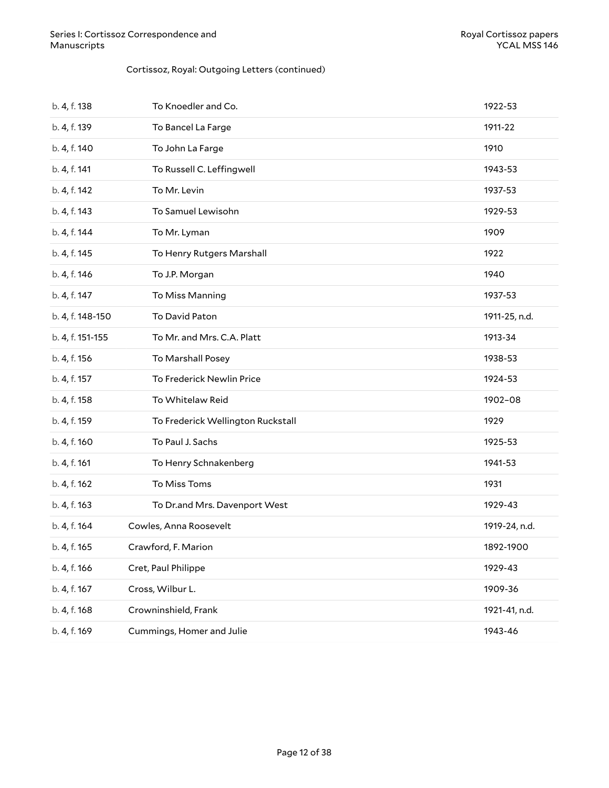#### Cortissoz, Royal: Outgoing Letters (continued)

| b. 4, f. 138     | To Knoedler and Co.               | 1922-53       |
|------------------|-----------------------------------|---------------|
| b. 4, f. 139     | To Bancel La Farge                | 1911-22       |
| b. 4, f. 140     | To John La Farge                  | 1910          |
| b. 4, f. 141     | To Russell C. Leffingwell         | 1943-53       |
| b. 4, f. 142     | To Mr. Levin                      | 1937-53       |
| b. 4, f. 143     | To Samuel Lewisohn                | 1929-53       |
| b. 4, f. 144     | To Mr. Lyman                      | 1909          |
| b. 4, f. 145     | To Henry Rutgers Marshall         | 1922          |
| b. 4, f. 146     | To J.P. Morgan                    | 1940          |
| b. 4, f. 147     | To Miss Manning                   | 1937-53       |
| b. 4, f. 148-150 | To David Paton                    | 1911-25, n.d. |
| b. 4, f. 151-155 | To Mr. and Mrs. C.A. Platt        | 1913-34       |
| b. 4, f. 156     | To Marshall Posey                 | 1938-53       |
| b. 4, f. 157     | To Frederick Newlin Price         | 1924-53       |
| b. 4, f. 158     | To Whitelaw Reid                  | 1902-08       |
| b. 4, f. 159     | To Frederick Wellington Ruckstall | 1929          |
| b. 4, f. 160     | To Paul J. Sachs                  | 1925-53       |
| b. 4, f. 161     | To Henry Schnakenberg             | 1941-53       |
| b. 4, f. 162     | To Miss Toms                      | 1931          |
| b. 4, f. 163     | To Dr.and Mrs. Davenport West     | 1929-43       |
| b. 4, f. 164     | Cowles, Anna Roosevelt            | 1919-24, n.d. |
| b. 4, f. 165     | Crawford, F. Marion               | 1892-1900     |
| b. 4, f. 166     | Cret, Paul Philippe               | 1929-43       |
| b. 4, f. 167     | Cross, Wilbur L.                  | 1909-36       |
| b. 4, f. 168     | Crowninshield, Frank              | 1921-41, n.d. |
| b. 4, f. 169     | Cummings, Homer and Julie         | 1943-46       |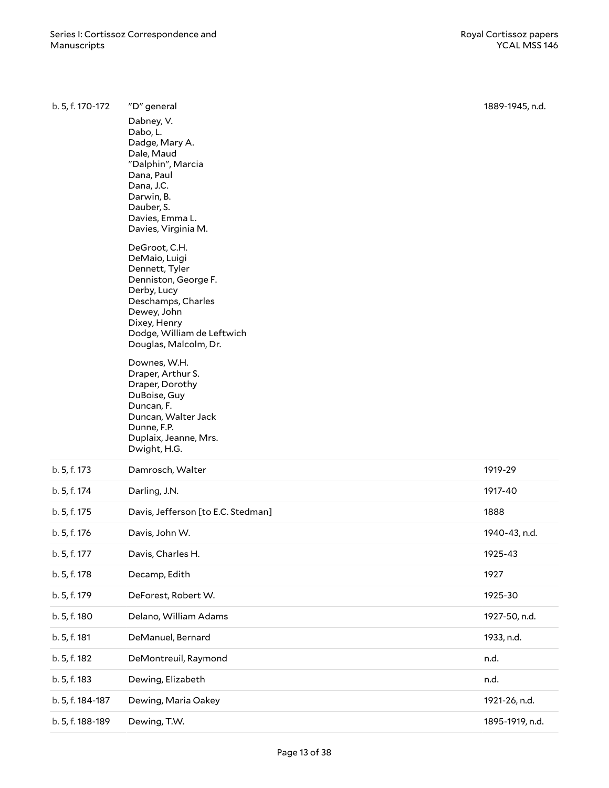| b. 5, f. 170-172 | "D" general                                                                                                                                                                                                                                                                                                                                              | 1889-1945, n.d. |
|------------------|----------------------------------------------------------------------------------------------------------------------------------------------------------------------------------------------------------------------------------------------------------------------------------------------------------------------------------------------------------|-----------------|
|                  | Dabney, V.<br>Dabo, L.<br>Dadge, Mary A.<br>Dale, Maud<br>"Dalphin", Marcia<br>Dana, Paul<br>Dana, J.C.<br>Darwin, B.<br>Dauber, S.<br>Davies, Emma L.<br>Davies, Virginia M.                                                                                                                                                                            |                 |
|                  | DeGroot, C.H.<br>DeMaio, Luigi<br>Dennett, Tyler<br>Denniston, George F.<br>Derby, Lucy<br>Deschamps, Charles<br>Dewey, John<br>Dixey, Henry<br>Dodge, William de Leftwich<br>Douglas, Malcolm, Dr.<br>Downes, W.H.<br>Draper, Arthur S.<br>Draper, Dorothy<br>DuBoise, Guy<br>Duncan, F.<br>Duncan, Walter Jack<br>Dunne, F.P.<br>Duplaix, Jeanne, Mrs. |                 |
| b. 5, f. 173     | Dwight, H.G.<br>Damrosch, Walter                                                                                                                                                                                                                                                                                                                         | 1919-29         |
| b. 5, f. 174     | Darling, J.N.                                                                                                                                                                                                                                                                                                                                            | 1917-40         |
| b. 5, f. 175     | Davis, Jefferson [to E.C. Stedman]                                                                                                                                                                                                                                                                                                                       | 1888            |
| b. 5, f. 176     | Davis, John W.                                                                                                                                                                                                                                                                                                                                           | 1940-43, n.d.   |
| b. 5, f. 177     | Davis, Charles H.                                                                                                                                                                                                                                                                                                                                        | 1925-43         |
| b. 5, f. 178     | Decamp, Edith                                                                                                                                                                                                                                                                                                                                            | 1927            |
| b. 5, f. 179     | DeForest, Robert W.                                                                                                                                                                                                                                                                                                                                      | 1925-30         |
| b. 5, f. 180     | Delano, William Adams                                                                                                                                                                                                                                                                                                                                    | 1927-50, n.d.   |
| b. 5, f. 181     | DeManuel, Bernard                                                                                                                                                                                                                                                                                                                                        | 1933, n.d.      |
| b. 5, f. 182     | DeMontreuil, Raymond                                                                                                                                                                                                                                                                                                                                     | n.d.            |
| b. 5, f. 183     | Dewing, Elizabeth                                                                                                                                                                                                                                                                                                                                        | n.d.            |
| b. 5, f. 184-187 | Dewing, Maria Oakey                                                                                                                                                                                                                                                                                                                                      | 1921-26, n.d.   |
| b. 5, f. 188-189 | Dewing, T.W.                                                                                                                                                                                                                                                                                                                                             | 1895-1919, n.d. |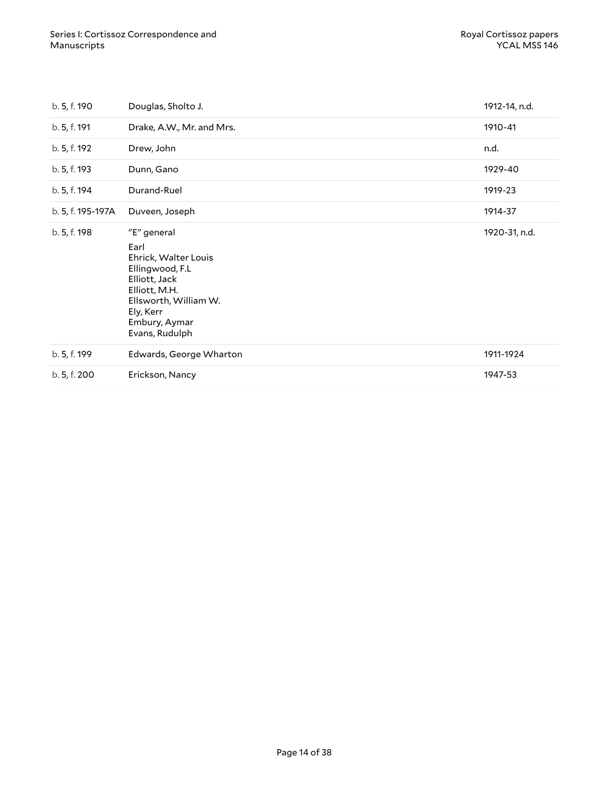| b. 5, f. 190      | Douglas, Sholto J.                                                                                                                                                        | 1912-14, n.d. |
|-------------------|---------------------------------------------------------------------------------------------------------------------------------------------------------------------------|---------------|
| b. 5, f. 191      | Drake, A.W., Mr. and Mrs.                                                                                                                                                 | 1910-41       |
| b. 5, f. 192      | Drew, John                                                                                                                                                                | n.d.          |
| b. 5, f. 193      | Dunn, Gano                                                                                                                                                                | 1929-40       |
| b. 5, f. 194      | Durand-Ruel                                                                                                                                                               | 1919-23       |
| b. 5, f. 195-197A | Duveen, Joseph                                                                                                                                                            | 1914-37       |
| b. 5, f. 198      | "E" general<br>Earl<br>Ehrick, Walter Louis<br>Ellingwood, F.L<br>Elliott, Jack<br>Elliott, M.H.<br>Ellsworth, William W.<br>Ely, Kerr<br>Embury, Aymar<br>Evans, Rudulph | 1920-31, n.d. |
| b. 5, f. 199      | Edwards, George Wharton                                                                                                                                                   | 1911-1924     |
| b. 5, f. 200      | Erickson, Nancy                                                                                                                                                           | 1947-53       |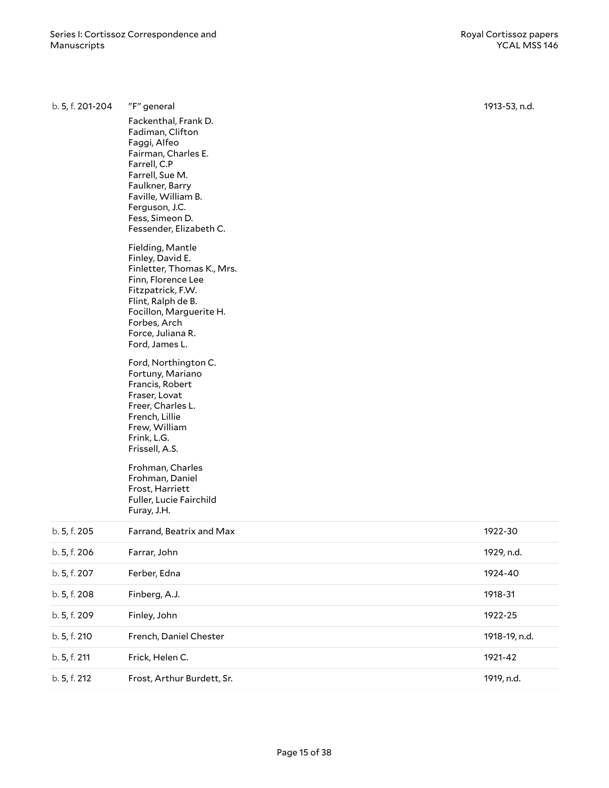| b. 5, f. 201-204 | "F" general                                                                                                                                                                                                                  | 1913-53, n.d. |
|------------------|------------------------------------------------------------------------------------------------------------------------------------------------------------------------------------------------------------------------------|---------------|
|                  | Fackenthal, Frank D.<br>Fadiman, Clifton<br>Faggi, Alfeo<br>Fairman, Charles E.<br>Farrell, C.P<br>Farrell, Sue M.<br>Faulkner, Barry<br>Faville, William B.<br>Ferguson, J.C.<br>Fess, Simeon D.<br>Fessender, Elizabeth C. |               |
|                  | Fielding, Mantle<br>Finley, David E.<br>Finletter, Thomas K., Mrs.<br>Finn, Florence Lee<br>Fitzpatrick, F.W.<br>Flint, Ralph de B.<br>Focillon, Marguerite H.<br>Forbes, Arch<br>Force, Juliana R.<br>Ford, James L.        |               |
|                  | Ford, Northington C.<br>Fortuny, Mariano<br>Francis, Robert<br>Fraser, Lovat<br>Freer, Charles L.<br>French, Lillie<br>Frew, William<br>Frink, L.G.<br>Frissell, A.S.                                                        |               |
|                  | Frohman, Charles<br>Frohman, Daniel<br>Frost, Harriett<br>Fuller, Lucie Fairchild<br>Furay, J.H.                                                                                                                             |               |
| b. 5, f. 205     | Farrand, Beatrix and Max                                                                                                                                                                                                     | 1922-30       |
| b. 5, f. 206     | Farrar, John                                                                                                                                                                                                                 | 1929, n.d.    |
| b. 5, f. 207     | Ferber, Edna                                                                                                                                                                                                                 | 1924-40       |
| b. 5, f. 208     | Finberg, A.J.                                                                                                                                                                                                                | 1918-31       |
| b. 5, f. 209     | Finley, John                                                                                                                                                                                                                 | 1922-25       |
| b. 5, f. 210     | French, Daniel Chester                                                                                                                                                                                                       | 1918-19, n.d. |
| b. 5, f. 211     | Frick, Helen C.                                                                                                                                                                                                              | 1921-42       |
| b. 5, f. 212     | Frost, Arthur Burdett, Sr.                                                                                                                                                                                                   | 1919, n.d.    |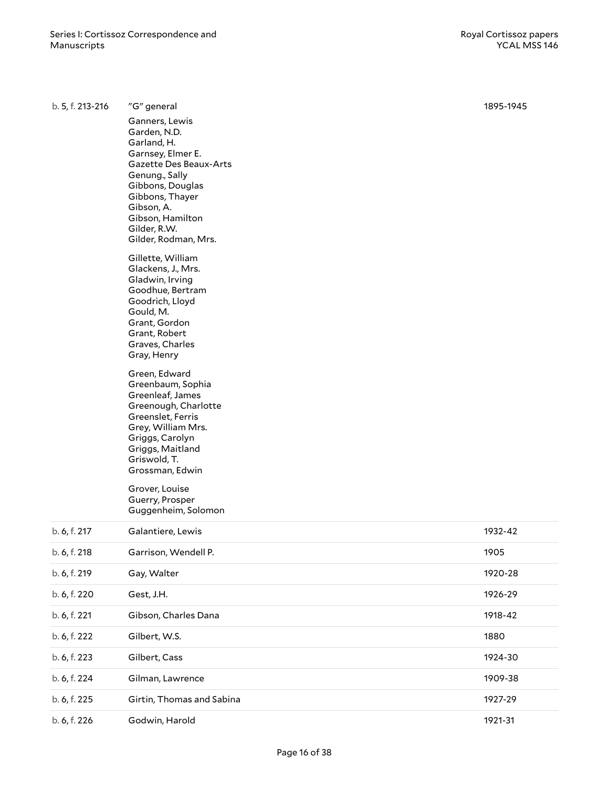| b. 5, f. 213-216 | "G" general                                                                                                                                                                                                                                                                                                                                                                                                                                                                                                                                                                                                                                    | 1895-1945 |
|------------------|------------------------------------------------------------------------------------------------------------------------------------------------------------------------------------------------------------------------------------------------------------------------------------------------------------------------------------------------------------------------------------------------------------------------------------------------------------------------------------------------------------------------------------------------------------------------------------------------------------------------------------------------|-----------|
|                  | Ganners, Lewis<br>Garden, N.D.<br>Garland, H.<br>Garnsey, Elmer E.<br>Gazette Des Beaux-Arts<br>Genung., Sally<br>Gibbons, Douglas<br>Gibbons, Thayer<br>Gibson, A.<br>Gibson, Hamilton<br>Gilder, R.W.<br>Gilder, Rodman, Mrs.<br>Gillette, William<br>Glackens, J., Mrs.<br>Gladwin, Irving<br>Goodhue, Bertram<br>Goodrich, Lloyd<br>Gould, M.<br>Grant, Gordon<br>Grant, Robert<br>Graves, Charles<br>Gray, Henry<br>Green, Edward<br>Greenbaum, Sophia<br>Greenleaf, James<br>Greenough, Charlotte<br>Greenslet, Ferris<br>Grey, William Mrs.<br>Griggs, Carolyn<br>Griggs, Maitland<br>Griswold, T.<br>Grossman, Edwin<br>Grover, Louise |           |
|                  | Guerry, Prosper<br>Guggenheim, Solomon                                                                                                                                                                                                                                                                                                                                                                                                                                                                                                                                                                                                         |           |
| b. 6, f. 217     | Galantiere, Lewis                                                                                                                                                                                                                                                                                                                                                                                                                                                                                                                                                                                                                              | 1932-42   |
| b. 6, f. 218     | Garrison, Wendell P.                                                                                                                                                                                                                                                                                                                                                                                                                                                                                                                                                                                                                           | 1905      |
| b. 6, f. 219     | Gay, Walter                                                                                                                                                                                                                                                                                                                                                                                                                                                                                                                                                                                                                                    | 1920-28   |
| b. 6, f. 220     | Gest, J.H.                                                                                                                                                                                                                                                                                                                                                                                                                                                                                                                                                                                                                                     | 1926-29   |
| b. 6, f. 221     | Gibson, Charles Dana                                                                                                                                                                                                                                                                                                                                                                                                                                                                                                                                                                                                                           | 1918-42   |
| b. 6, f. 222     | Gilbert, W.S.                                                                                                                                                                                                                                                                                                                                                                                                                                                                                                                                                                                                                                  | 1880      |
| b. 6, f. 223     | Gilbert, Cass                                                                                                                                                                                                                                                                                                                                                                                                                                                                                                                                                                                                                                  | 1924-30   |
| b. 6, f. 224     | Gilman, Lawrence                                                                                                                                                                                                                                                                                                                                                                                                                                                                                                                                                                                                                               | 1909-38   |
| b. 6, f. 225     | Girtin, Thomas and Sabina                                                                                                                                                                                                                                                                                                                                                                                                                                                                                                                                                                                                                      | 1927-29   |
| b. 6, f. 226     | Godwin, Harold                                                                                                                                                                                                                                                                                                                                                                                                                                                                                                                                                                                                                                 | 1921-31   |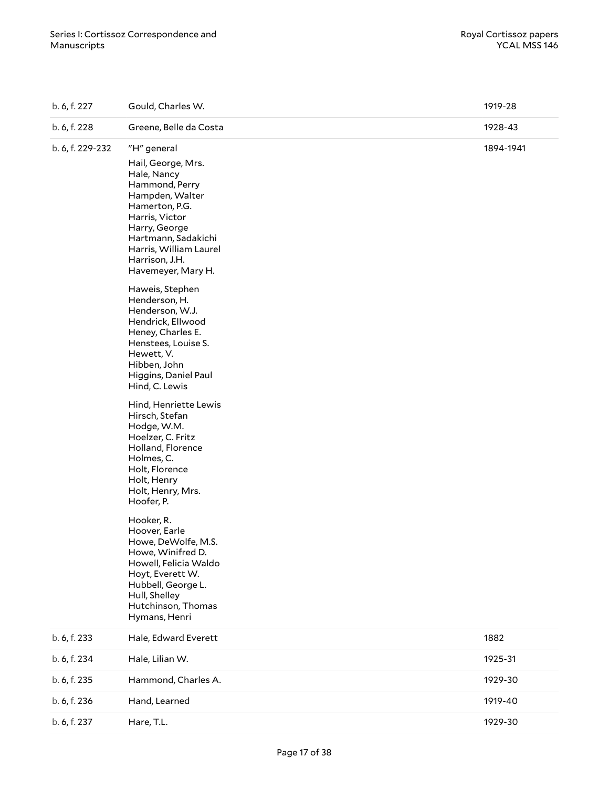| b. 6, f. 227     | Gould, Charles W.                                                                                                                                                                                                                                                                                                                                                                                                                                                                                                                                                                                                                                                                                                                                                                        | 1919-28   |
|------------------|------------------------------------------------------------------------------------------------------------------------------------------------------------------------------------------------------------------------------------------------------------------------------------------------------------------------------------------------------------------------------------------------------------------------------------------------------------------------------------------------------------------------------------------------------------------------------------------------------------------------------------------------------------------------------------------------------------------------------------------------------------------------------------------|-----------|
| b. 6, f. 228     | Greene, Belle da Costa                                                                                                                                                                                                                                                                                                                                                                                                                                                                                                                                                                                                                                                                                                                                                                   | 1928-43   |
| b. 6, f. 229-232 | "H" general<br>Hail, George, Mrs.<br>Hale, Nancy<br>Hammond, Perry<br>Hampden, Walter<br>Hamerton, P.G.<br>Harris, Victor<br>Harry, George<br>Hartmann, Sadakichi<br>Harris, William Laurel<br>Harrison, J.H.<br>Havemeyer, Mary H.<br>Haweis, Stephen<br>Henderson, H.<br>Henderson, W.J.<br>Hendrick, Ellwood<br>Heney, Charles E.<br>Henstees, Louise S.<br>Hewett, V.<br>Hibben, John<br>Higgins, Daniel Paul<br>Hind, C. Lewis<br>Hind, Henriette Lewis<br>Hirsch, Stefan<br>Hodge, W.M.<br>Hoelzer, C. Fritz<br>Holland, Florence<br>Holmes, C.<br>Holt, Florence<br>Holt, Henry<br>Holt, Henry, Mrs.<br>Hoofer, P.<br>Hooker, R.<br>Hoover, Earle<br>Howe, DeWolfe, M.S.<br>Howe, Winifred D.<br>Howell, Felicia Waldo<br>Hoyt, Everett W.<br>Hubbell, George L.<br>Hull, Shelley | 1894-1941 |
|                  | Hutchinson, Thomas<br>Hymans, Henri                                                                                                                                                                                                                                                                                                                                                                                                                                                                                                                                                                                                                                                                                                                                                      |           |
| b. 6, f. 233     | Hale, Edward Everett                                                                                                                                                                                                                                                                                                                                                                                                                                                                                                                                                                                                                                                                                                                                                                     | 1882      |
| b. 6, f. 234     | Hale, Lilian W.                                                                                                                                                                                                                                                                                                                                                                                                                                                                                                                                                                                                                                                                                                                                                                          | 1925-31   |
| b. 6, f. 235     | Hammond, Charles A.                                                                                                                                                                                                                                                                                                                                                                                                                                                                                                                                                                                                                                                                                                                                                                      | 1929-30   |
| b. 6, f. 236     | Hand, Learned                                                                                                                                                                                                                                                                                                                                                                                                                                                                                                                                                                                                                                                                                                                                                                            | 1919-40   |
| b. 6, f. 237     | Hare, T.L.                                                                                                                                                                                                                                                                                                                                                                                                                                                                                                                                                                                                                                                                                                                                                                               | 1929-30   |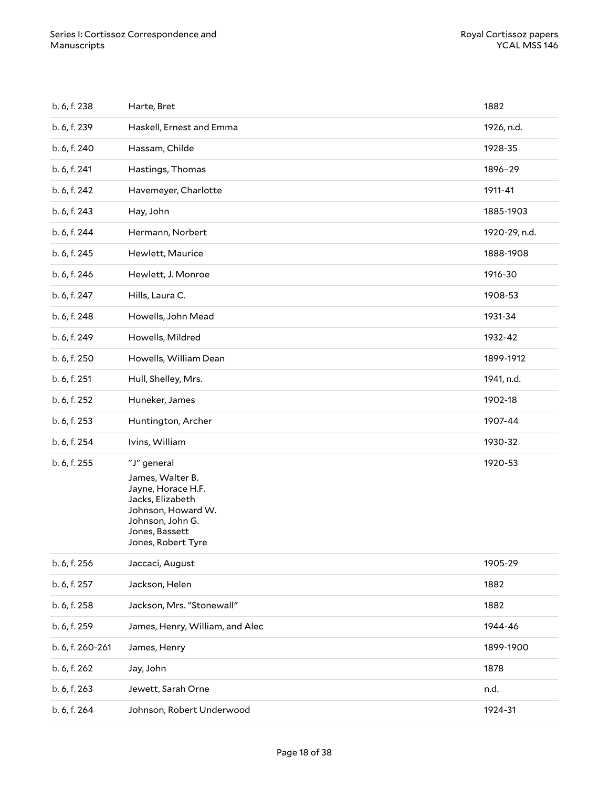| b. 6, f. 238     | Harte, Bret                                                                                                                                                 | 1882          |
|------------------|-------------------------------------------------------------------------------------------------------------------------------------------------------------|---------------|
| b. 6, f. 239     | Haskell, Ernest and Emma                                                                                                                                    | 1926, n.d.    |
| b. 6, f. 240     | Hassam, Childe                                                                                                                                              | 1928-35       |
| b. 6, f. 241     | Hastings, Thomas                                                                                                                                            | 1896-29       |
| b. 6, f. 242     | Havemeyer, Charlotte                                                                                                                                        | 1911-41       |
| b. 6, f. 243     | Hay, John                                                                                                                                                   | 1885-1903     |
| b. 6, f. 244     | Hermann, Norbert                                                                                                                                            | 1920-29, n.d. |
| b. 6, f. 245     | Hewlett, Maurice                                                                                                                                            | 1888-1908     |
| b. 6, f. 246     | Hewlett, J. Monroe                                                                                                                                          | 1916-30       |
| b. 6, f. 247     | Hills, Laura C.                                                                                                                                             | 1908-53       |
| b. 6, f. 248     | Howells, John Mead                                                                                                                                          | 1931-34       |
| b. 6, f. 249     | Howells, Mildred                                                                                                                                            | 1932-42       |
| b. 6, f. 250     | Howells, William Dean                                                                                                                                       | 1899-1912     |
| b. 6, f. 251     | Hull, Shelley, Mrs.                                                                                                                                         | 1941, n.d.    |
| b. 6, f. 252     | Huneker, James                                                                                                                                              | 1902-18       |
| b. 6, f. 253     | Huntington, Archer                                                                                                                                          | 1907-44       |
| b. 6, f. 254     | Ivins, William                                                                                                                                              | 1930-32       |
| b. 6, f. 255     | "J" general<br>James, Walter B.<br>Jayne, Horace H.F.<br>Jacks, Elizabeth<br>Johnson, Howard W.<br>Johnson, John G.<br>Jones, Bassett<br>Jones, Robert Tyre | 1920-53       |
| b. 6, f. 256     | Jaccaci, August                                                                                                                                             | 1905-29       |
| b. 6, f. 257     | Jackson, Helen                                                                                                                                              | 1882          |
| b. 6, f. 258     | Jackson, Mrs. "Stonewall"                                                                                                                                   | 1882          |
| b. 6, f. 259     | James, Henry, William, and Alec                                                                                                                             | 1944-46       |
| b. 6, f. 260-261 | James, Henry                                                                                                                                                | 1899-1900     |
| b. 6, f. 262     | Jay, John                                                                                                                                                   | 1878          |
| b. 6, f. 263     | Jewett, Sarah Orne                                                                                                                                          | n.d.          |
| b. 6, f. 264     | Johnson, Robert Underwood                                                                                                                                   | 1924-31       |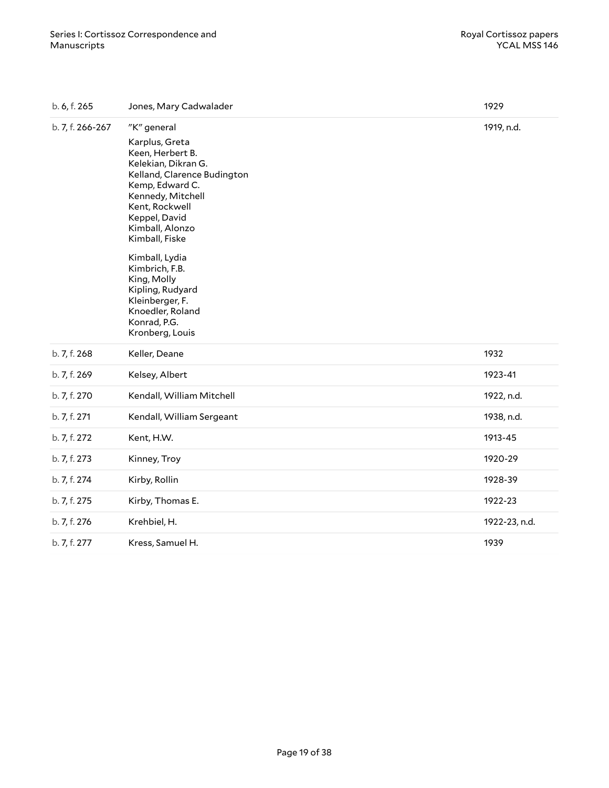| b. 6, f. 265     | Jones, Mary Cadwalader<br>1929                                                                                                                                                                                                            |               |
|------------------|-------------------------------------------------------------------------------------------------------------------------------------------------------------------------------------------------------------------------------------------|---------------|
| b. 7, f. 266-267 | "K" general<br>Karplus, Greta<br>Keen, Herbert B.<br>Kelekian, Dikran G.<br>Kelland, Clarence Budington<br>Kemp, Edward C.<br>Kennedy, Mitchell<br>Kent, Rockwell<br>Keppel, David<br>Kimball, Alonzo<br>Kimball, Fiske<br>Kimball, Lydia | 1919, n.d.    |
|                  | Kimbrich, F.B.<br>King, Molly<br>Kipling, Rudyard<br>Kleinberger, F.<br>Knoedler, Roland<br>Konrad, P.G.<br>Kronberg, Louis                                                                                                               |               |
| b. 7, f. 268     | Keller, Deane                                                                                                                                                                                                                             | 1932          |
| b. 7, f. 269     | Kelsey, Albert                                                                                                                                                                                                                            | 1923-41       |
| b. 7, f. 270     | Kendall, William Mitchell                                                                                                                                                                                                                 | 1922, n.d.    |
| b. 7, f. 271     | Kendall, William Sergeant                                                                                                                                                                                                                 | 1938, n.d.    |
| b. 7, f. 272     | Kent, H.W.                                                                                                                                                                                                                                | 1913-45       |
| b. 7, f. 273     | Kinney, Troy                                                                                                                                                                                                                              | 1920-29       |
| b. 7, f. 274     | Kirby, Rollin                                                                                                                                                                                                                             | 1928-39       |
| b. 7, f. 275     | Kirby, Thomas E.                                                                                                                                                                                                                          | 1922-23       |
| b. 7, f. 276     | Krehbiel, H.                                                                                                                                                                                                                              | 1922-23, n.d. |
| b. 7, f. 277     | Kress, Samuel H.                                                                                                                                                                                                                          | 1939          |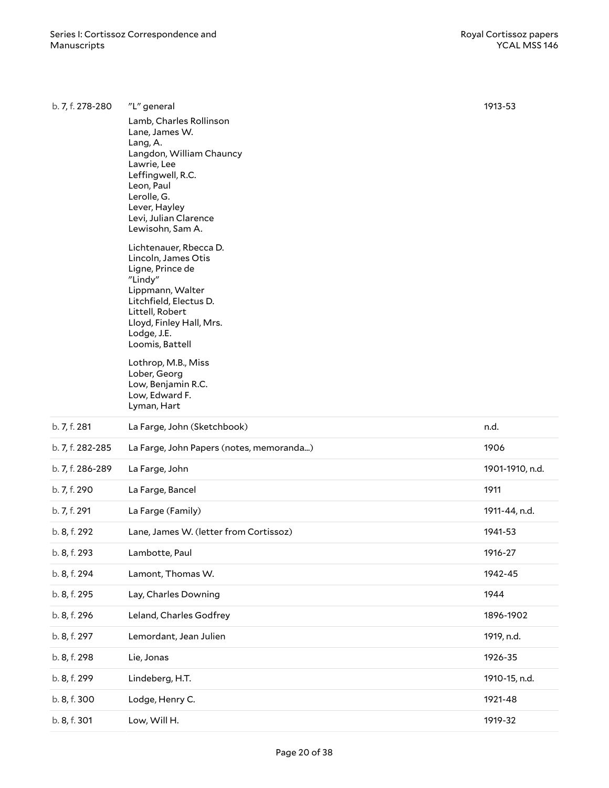| b. 7, f. 278-280 | "L" general                                                                                                                                                                                                                                                                                               | 1913-53         |
|------------------|-----------------------------------------------------------------------------------------------------------------------------------------------------------------------------------------------------------------------------------------------------------------------------------------------------------|-----------------|
|                  | Lamb, Charles Rollinson<br>Lane, James W.<br>Lang, A.<br>Langdon, William Chauncy<br>Lawrie, Lee<br>Leffingwell, R.C.<br>Leon, Paul<br>Lerolle, G.<br>Lever, Hayley<br>Levi, Julian Clarence<br>Lewisohn, Sam A.                                                                                          |                 |
|                  | Lichtenauer, Rbecca D.<br>Lincoln, James Otis<br>Ligne, Prince de<br>"Lindy"<br>Lippmann, Walter<br>Litchfield, Electus D.<br>Littell, Robert<br>Lloyd, Finley Hall, Mrs.<br>Lodge, J.E.<br>Loomis, Battell<br>Lothrop, M.B., Miss<br>Lober, Georg<br>Low, Benjamin R.C.<br>Low, Edward F.<br>Lyman, Hart |                 |
| b. 7, f. 281     | La Farge, John (Sketchbook)                                                                                                                                                                                                                                                                               | n.d.            |
| b. 7, f. 282-285 | La Farge, John Papers (notes, memoranda)                                                                                                                                                                                                                                                                  | 1906            |
| b. 7, f. 286-289 | La Farge, John                                                                                                                                                                                                                                                                                            | 1901-1910, n.d. |
| b. 7, f. 290     | La Farge, Bancel                                                                                                                                                                                                                                                                                          | 1911            |
| b. 7, f. 291     | La Farge (Family)                                                                                                                                                                                                                                                                                         | 1911-44, n.d.   |
| b. 8, f. 292     | Lane, James W. (letter from Cortissoz)                                                                                                                                                                                                                                                                    | 1941-53         |
| b. 8, f. 293     | Lambotte, Paul                                                                                                                                                                                                                                                                                            | 1916-27         |
| b. 8, f. 294     |                                                                                                                                                                                                                                                                                                           |                 |
|                  | Lamont, Thomas W.                                                                                                                                                                                                                                                                                         | 1942-45         |
| b. 8, f. 295     | Lay, Charles Downing                                                                                                                                                                                                                                                                                      | 1944            |
| b. 8, f. 296     | Leland, Charles Godfrey                                                                                                                                                                                                                                                                                   | 1896-1902       |
| b. 8, f. 297     | Lemordant, Jean Julien                                                                                                                                                                                                                                                                                    | 1919, n.d.      |
| b. 8, f. 298     | Lie, Jonas                                                                                                                                                                                                                                                                                                | 1926-35         |
| b. 8, f. 299     | Lindeberg, H.T.                                                                                                                                                                                                                                                                                           | 1910-15, n.d.   |
| b. 8, f. 300     | Lodge, Henry C.                                                                                                                                                                                                                                                                                           | 1921-48         |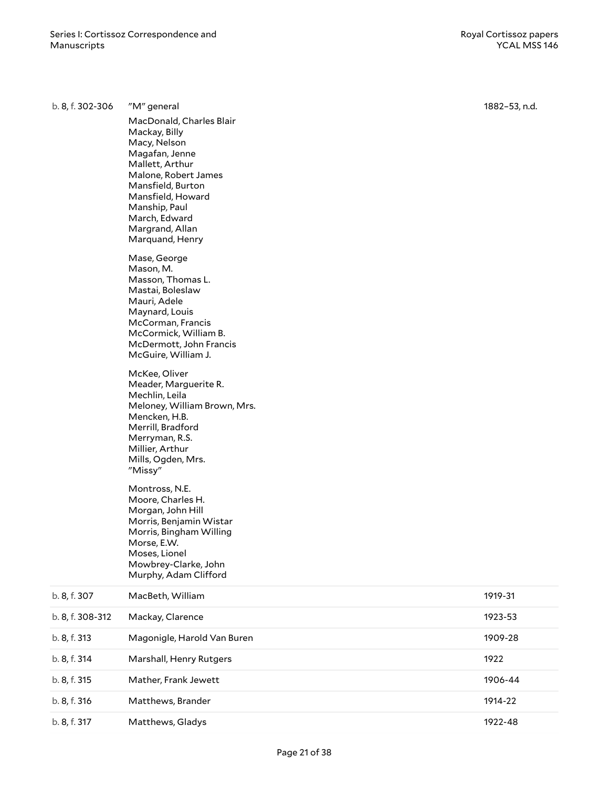| b. 8, f. 302-306 | "M" general                                                                                                                                                                                                                                                                                                                                                                                                                                                                                                                                                                                                                                                                                                                                                                                                | 1882-53, n.d. |
|------------------|------------------------------------------------------------------------------------------------------------------------------------------------------------------------------------------------------------------------------------------------------------------------------------------------------------------------------------------------------------------------------------------------------------------------------------------------------------------------------------------------------------------------------------------------------------------------------------------------------------------------------------------------------------------------------------------------------------------------------------------------------------------------------------------------------------|---------------|
|                  | MacDonald, Charles Blair<br>Mackay, Billy<br>Macy, Nelson<br>Magafan, Jenne<br>Mallett, Arthur<br>Malone, Robert James<br>Mansfield, Burton<br>Mansfield, Howard<br>Manship, Paul<br>March, Edward<br>Margrand, Allan<br>Marquand, Henry<br>Mase, George<br>Mason, M.<br>Masson, Thomas L.<br>Mastai, Boleslaw<br>Mauri, Adele<br>Maynard, Louis<br>McCorman, Francis<br>McCormick, William B.<br>McDermott, John Francis<br>McGuire, William J.<br>McKee, Oliver<br>Meader, Marguerite R.<br>Mechlin, Leila<br>Meloney, William Brown, Mrs.<br>Mencken, H.B.<br>Merrill, Bradford<br>Merryman, R.S.<br>Millier, Arthur<br>Mills, Ogden, Mrs.<br>"Missy"<br>Montross, N.E.<br>Moore, Charles H.<br>Morgan, John Hill<br>Morris, Benjamin Wistar<br>Morris, Bingham Willing<br>Morse, E.W.<br>Moses, Lionel |               |
|                  | Mowbrey-Clarke, John<br>Murphy, Adam Clifford                                                                                                                                                                                                                                                                                                                                                                                                                                                                                                                                                                                                                                                                                                                                                              |               |
| b. 8, f. 307     | MacBeth, William                                                                                                                                                                                                                                                                                                                                                                                                                                                                                                                                                                                                                                                                                                                                                                                           | 1919-31       |
| b. 8, f. 308-312 | Mackay, Clarence                                                                                                                                                                                                                                                                                                                                                                                                                                                                                                                                                                                                                                                                                                                                                                                           | 1923-53       |
| b. 8, f. 313     | Magonigle, Harold Van Buren                                                                                                                                                                                                                                                                                                                                                                                                                                                                                                                                                                                                                                                                                                                                                                                | 1909-28       |
| b. 8, f. 314     | Marshall, Henry Rutgers                                                                                                                                                                                                                                                                                                                                                                                                                                                                                                                                                                                                                                                                                                                                                                                    | 1922          |
| b. 8, f. 315     | Mather, Frank Jewett                                                                                                                                                                                                                                                                                                                                                                                                                                                                                                                                                                                                                                                                                                                                                                                       | 1906-44       |
| b. 8, f. 316     | Matthews, Brander                                                                                                                                                                                                                                                                                                                                                                                                                                                                                                                                                                                                                                                                                                                                                                                          | 1914-22       |
| b. 8, f. 317     | Matthews, Gladys                                                                                                                                                                                                                                                                                                                                                                                                                                                                                                                                                                                                                                                                                                                                                                                           | 1922-48       |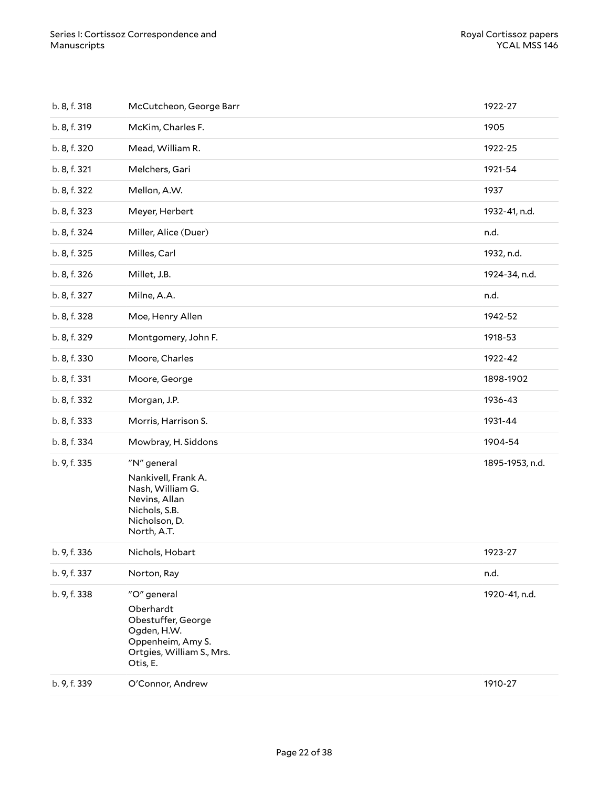| b. 8, f. 318 | McCutcheon, George Barr                                                                                                     | 1922-27         |
|--------------|-----------------------------------------------------------------------------------------------------------------------------|-----------------|
| b. 8, f. 319 | McKim, Charles F.                                                                                                           | 1905            |
| b. 8, f. 320 | Mead, William R.                                                                                                            | 1922-25         |
| b. 8, f. 321 | Melchers, Gari                                                                                                              | 1921-54         |
| b. 8, f. 322 | Mellon, A.W.                                                                                                                | 1937            |
| b. 8, f. 323 | Meyer, Herbert                                                                                                              | 1932-41, n.d.   |
| b. 8, f. 324 | Miller, Alice (Duer)                                                                                                        | n.d.            |
| b. 8, f. 325 | Milles, Carl                                                                                                                | 1932, n.d.      |
| b. 8, f. 326 | Millet, J.B.                                                                                                                | 1924-34, n.d.   |
| b. 8, f. 327 | Milne, A.A.                                                                                                                 | n.d.            |
| b. 8, f. 328 | Moe, Henry Allen                                                                                                            | 1942-52         |
| b. 8, f. 329 | Montgomery, John F.                                                                                                         | 1918-53         |
| b. 8, f. 330 | Moore, Charles                                                                                                              | 1922-42         |
| b. 8, f. 331 | Moore, George                                                                                                               | 1898-1902       |
| b. 8, f. 332 | Morgan, J.P.                                                                                                                | 1936-43         |
| b. 8, f. 333 | Morris, Harrison S.                                                                                                         | 1931-44         |
| b. 8, f. 334 | Mowbray, H. Siddons                                                                                                         | 1904-54         |
| b. 9, f. 335 | "N" general<br>Nankivell, Frank A.<br>Nash, William G.<br>Nevins, Allan<br>Nichols, S.B.<br>Nicholson, D.<br>North, A.T.    | 1895-1953, n.d. |
| b. 9, f. 336 | Nichols, Hobart                                                                                                             | 1923-27         |
| b. 9, f. 337 | Norton, Ray                                                                                                                 | n.d.            |
| b. 9, f. 338 | "O" general<br>Oberhardt<br>Obestuffer, George<br>Ogden, H.W.<br>Oppenheim, Amy S.<br>Ortgies, William S., Mrs.<br>Otis, E. | 1920-41, n.d.   |
| b. 9, f. 339 | O'Connor, Andrew                                                                                                            | 1910-27         |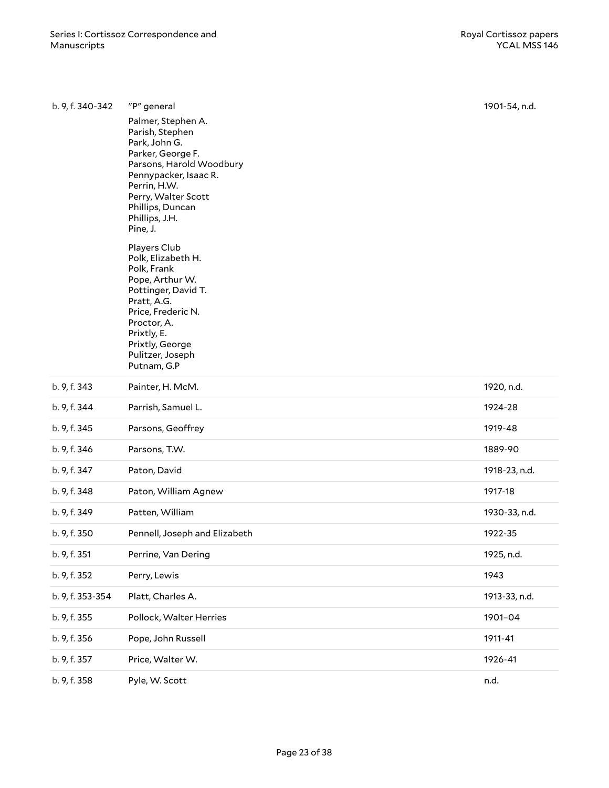| b. 9, f. 340-342 | "P" general                           | 1901-54, n.d. |
|------------------|---------------------------------------|---------------|
|                  | Palmer, Stephen A.<br>Parish, Stephen |               |
|                  | Park, John G.<br>Parker, George F.    |               |
|                  | Parsons, Harold Woodbury              |               |
|                  | Pennypacker, Isaac R.<br>Perrin, H.W. |               |
|                  | Perry, Walter Scott                   |               |
|                  | Phillips, Duncan<br>Phillips, J.H.    |               |
|                  | Pine, J.                              |               |
|                  | Players Club                          |               |
|                  | Polk, Elizabeth H.<br>Polk, Frank     |               |
|                  | Pope, Arthur W.                       |               |
|                  | Pottinger, David T.                   |               |
|                  | Pratt, A.G.<br>Price, Frederic N.     |               |
|                  | Proctor, A.                           |               |
|                  | Prixtly, E.<br>Prixtly, George        |               |
|                  | Pulitzer, Joseph                      |               |
|                  | Putnam, G.P                           |               |
| b. 9, f. 343     | Painter, H. McM.                      | 1920, n.d.    |
| b. 9, f. 344     | Parrish, Samuel L.                    | 1924-28       |
| b. 9, f. 345     | Parsons, Geoffrey                     | 1919-48       |
| b. 9, f. 346     | Parsons, T.W.                         | 1889-90       |
| b. 9, f. 347     | Paton, David                          | 1918-23, n.d. |
| b. 9, f. 348     | Paton, William Agnew                  | 1917-18       |
| b. 9, f. 349     | Patten, William                       | 1930-33, n.d. |
| b. 9, f. 350     | Pennell, Joseph and Elizabeth         | 1922-35       |
| b. 9, f. 351     | Perrine, Van Dering                   | 1925, n.d.    |
| b. 9, f. 352     | Perry, Lewis                          | 1943          |
| b. 9, f. 353-354 | Platt, Charles A.                     | 1913-33, n.d. |
| b. 9, f. 355     | Pollock, Walter Herries               | 1901-04       |
| b. 9, f. 356     | Pope, John Russell                    | 1911-41       |
| b. 9, f. 357     | Price, Walter W.                      | 1926-41       |
| b. 9, f. 358     | Pyle, W. Scott                        | n.d.          |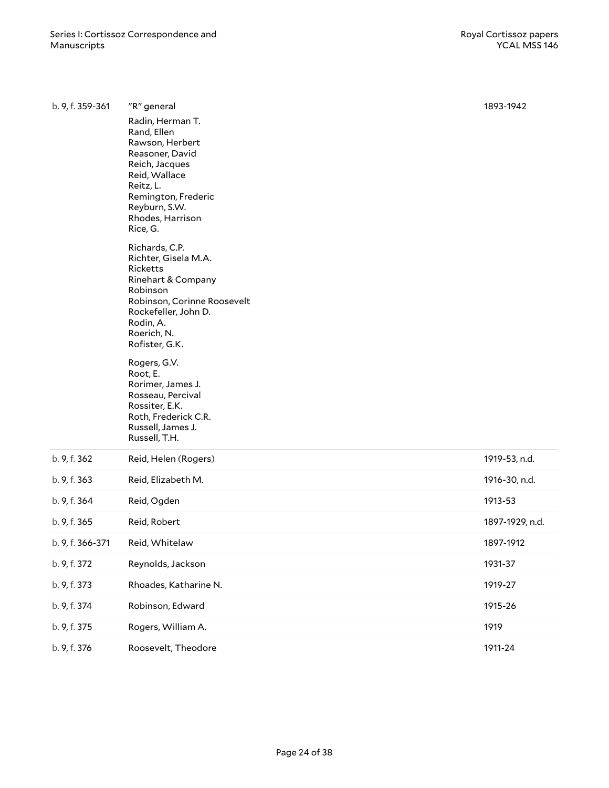| b. 9, f. 359-361 | "R" general                                                                                                                                                                                   | 1893-1942       |
|------------------|-----------------------------------------------------------------------------------------------------------------------------------------------------------------------------------------------|-----------------|
|                  | Radin, Herman T.<br>Rand, Ellen<br>Rawson, Herbert<br>Reasoner, David<br>Reich, Jacques<br>Reid, Wallace<br>Reitz, L.<br>Remington, Frederic<br>Reyburn, S.W.<br>Rhodes, Harrison<br>Rice, G. |                 |
|                  | Richards, C.P.<br>Richter, Gisela M.A.<br>Ricketts<br>Rinehart & Company<br>Robinson<br>Robinson, Corinne Roosevelt<br>Rockefeller, John D.<br>Rodin, A.<br>Roerich, N.<br>Rofister, G.K.     |                 |
|                  | Rogers, G.V.<br>Root, E.<br>Rorimer, James J.<br>Rosseau, Percival<br>Rossiter, E.K.<br>Roth, Frederick C.R.<br>Russell, James J.<br>Russell, T.H.                                            |                 |
| b. 9, f. 362     | Reid, Helen (Rogers)                                                                                                                                                                          | 1919-53, n.d.   |
| b. 9, f. 363     | Reid, Elizabeth M.                                                                                                                                                                            | 1916-30, n.d.   |
| b. 9, f. 364     | Reid, Ogden                                                                                                                                                                                   | 1913-53         |
| b. 9, f. 365     | Reid, Robert                                                                                                                                                                                  | 1897-1929, n.d. |
| b. 9, f. 366-371 | Reid, Whitelaw                                                                                                                                                                                | 1897-1912       |
| b. 9, f. 372     | Reynolds, Jackson                                                                                                                                                                             | 1931-37         |
| b. 9, f. 373     | Rhoades, Katharine N.                                                                                                                                                                         | 1919-27         |
| b. 9, f. 374     | Robinson, Edward                                                                                                                                                                              | 1915-26         |
| b. 9, f. 375     | Rogers, William A.                                                                                                                                                                            | 1919            |
| b. 9, f. 376     | Roosevelt, Theodore                                                                                                                                                                           | 1911-24         |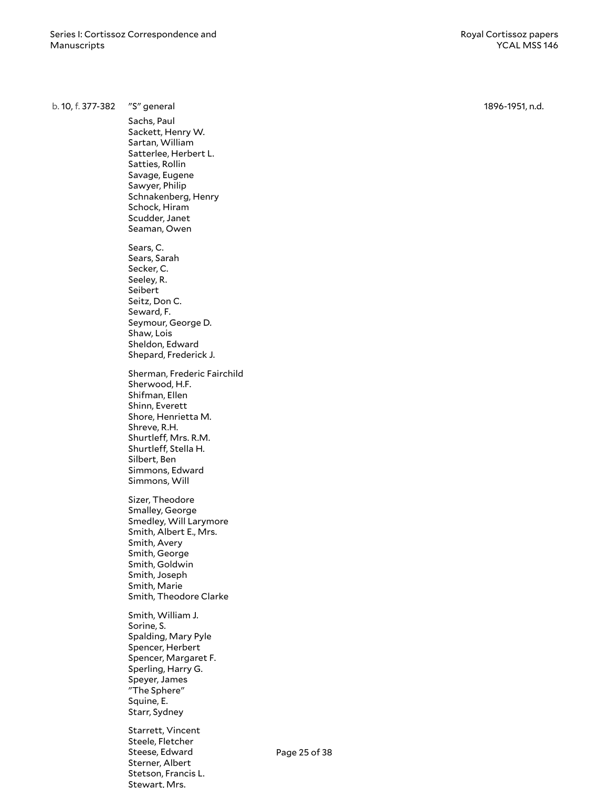b. 10, f. 377-382 "S" general Sachs, Paul Sackett, Henry W. Sartan, William Satterlee, Herbert L. Satties, Rollin Savage, Eugene Sawyer, Philip Schnakenberg, Henry Schock, Hiram Scudder, Janet Seaman, Owen Sears, C. Sears, Sarah Secker, C. Seeley, R. Seibert Seitz, Don C. Seward, F. Seymour, George D. S h a w, L o i s Sheldon, Edward Shepard, Frederick J. Sherman, Frederic Fairchild Sherwood, H.F. Shifman, Ellen Shinn, Everett Shore, Henrietta M. Shreve, R.H. Shurtleff, Mrs. R.M. Shurtleff, Stella H. Silbert, Ben Simmons, Edward S i m m o n s , W ill Sizer, Theodor e Smalley, George Smedley, Will Larymore Smith, Albert E., Mrs. Smith, Avery S m i t h , G e o r g e Smith, Goldwin Smith, Joseph Smith, Marie Smith, Theodore Clarke Smith, William J. Sorine, S. Spalding, Mary Pyle Spencer, Herbert Spencer, Margaret F. Sperling, Harry G. Speyer, James "The Sphere" Squine, E. Starr, Sydney Starrett, Vincent Steele, Fletcher Steese, Edward Sterner, Albert P a g e 25 o f 38

> Stetson, Francis L. Stewart, Mrs.

1896-1951, n.d.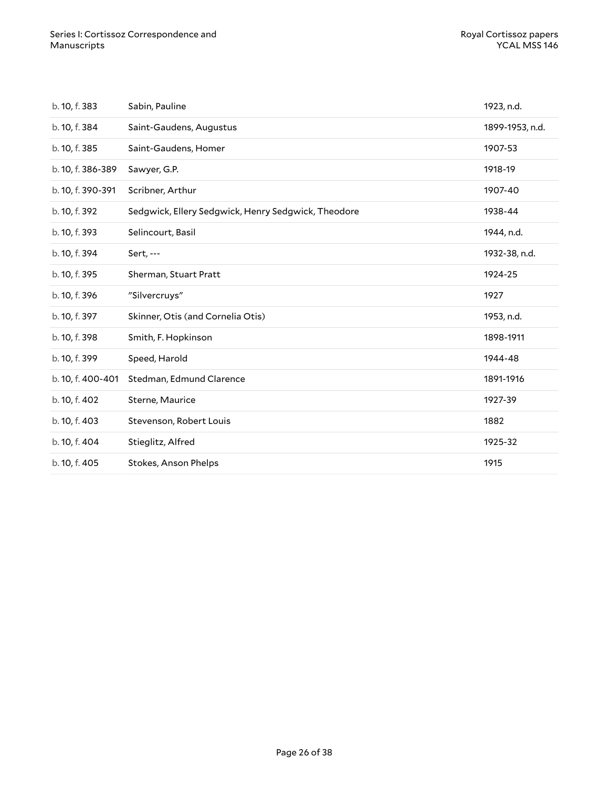| b. 10, f. 383     | Sabin, Pauline                                      | 1923, n.d.      |
|-------------------|-----------------------------------------------------|-----------------|
| b. 10, f. 384     | Saint-Gaudens, Augustus                             | 1899-1953, n.d. |
| b. 10, f. 385     | Saint-Gaudens, Homer                                | 1907-53         |
| b. 10, f. 386-389 | Sawyer, G.P.                                        | 1918-19         |
| b. 10, f. 390-391 | Scribner, Arthur                                    | 1907-40         |
| b. 10, f. 392     | Sedgwick, Ellery Sedgwick, Henry Sedgwick, Theodore | 1938-44         |
| b. 10, f. 393     | Selincourt, Basil                                   | 1944, n.d.      |
| b. 10, f. 394     | Sert, ---                                           | 1932-38, n.d.   |
| b. 10, f. 395     | Sherman, Stuart Pratt                               | 1924-25         |
|                   |                                                     |                 |
| b. 10, f. 396     | "Silvercruys"                                       | 1927            |
| b. 10, f. 397     | Skinner, Otis (and Cornelia Otis)                   | 1953, n.d.      |
| b. 10, f. 398     | Smith, F. Hopkinson                                 | 1898-1911       |
| b. 10, f. 399     | Speed, Harold                                       | 1944-48         |
| b. 10, f. 400-401 | Stedman, Edmund Clarence                            | 1891-1916       |
| b. 10, f. 402     | Sterne, Maurice                                     | 1927-39         |
| b. 10, f. 403     | Stevenson, Robert Louis                             | 1882            |
| b. 10, f. 404     | Stieglitz, Alfred                                   | 1925-32         |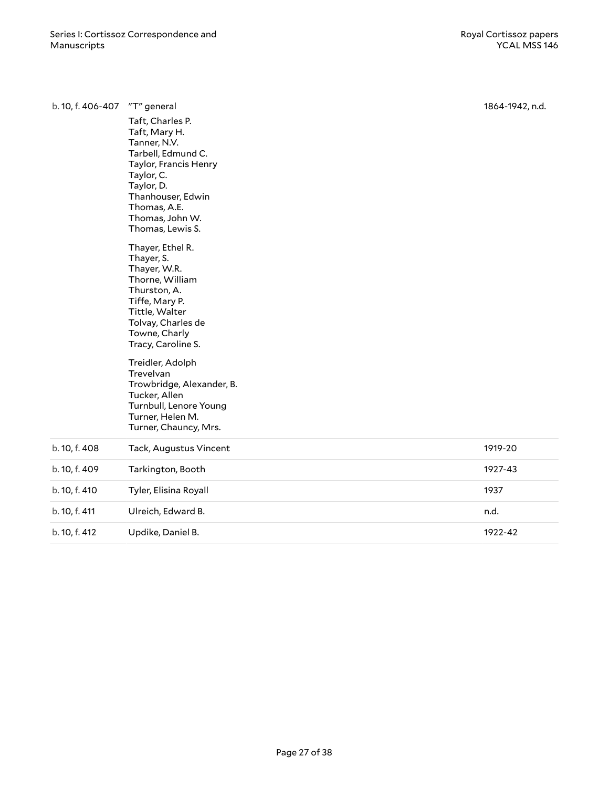| b. 10, f. 406-407 | "T" general                                                                                                                                                                                              | 1864-1942, n.d. |
|-------------------|----------------------------------------------------------------------------------------------------------------------------------------------------------------------------------------------------------|-----------------|
|                   | Taft, Charles P.<br>Taft, Mary H.<br>Tanner, N.V.<br>Tarbell, Edmund C.<br>Taylor, Francis Henry<br>Taylor, C.<br>Taylor, D.<br>Thanhouser, Edwin<br>Thomas, A.E.<br>Thomas, John W.<br>Thomas, Lewis S. |                 |
|                   | Thayer, Ethel R.<br>Thayer, S.<br>Thayer, W.R.<br>Thorne, William<br>Thurston, A.<br>Tiffe, Mary P.<br>Tittle, Walter<br>Tolvay, Charles de<br>Towne, Charly<br>Tracy, Caroline S.                       |                 |
|                   | Treidler, Adolph<br>Trevelvan<br>Trowbridge, Alexander, B.<br>Tucker, Allen<br>Turnbull, Lenore Young<br>Turner, Helen M.<br>Turner, Chauncy, Mrs.                                                       |                 |
| b. 10, f. 408     | Tack, Augustus Vincent                                                                                                                                                                                   | 1919-20         |
| b. 10, f. 409     | Tarkington, Booth                                                                                                                                                                                        | 1927-43         |
| b. 10, f. 410     | Tyler, Elisina Royall                                                                                                                                                                                    | 1937            |
| b. 10, f. 411     | Ulreich, Edward B.                                                                                                                                                                                       | n.d.            |
| b. 10, f. 412     | Updike, Daniel B.                                                                                                                                                                                        | 1922-42         |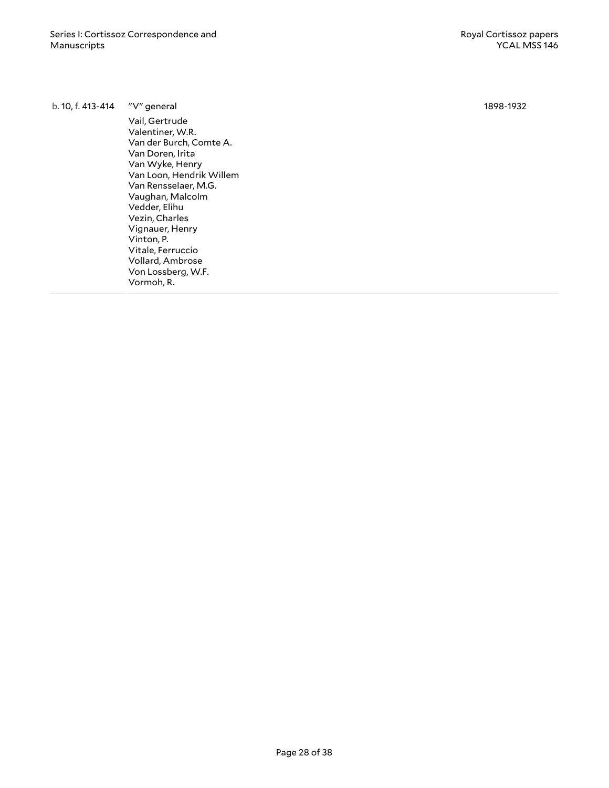b. 10, f. 413-414 "V" general

Vail, Gertrude Valentiner, W.R. Van der Burch, Comte A. Van Doren, Irita Van Wyke, Henry Van Loon, Hendrik Willem Van Rensselaer, M.G. Vaughan, Malcolm Vedder, Elihu Vezin, Charles Vignauer, Henry Vinton, P. Vitale, Ferruccio Vollard, Ambrose Von Lossberg, W.F. Vormoh, R.

1898-1932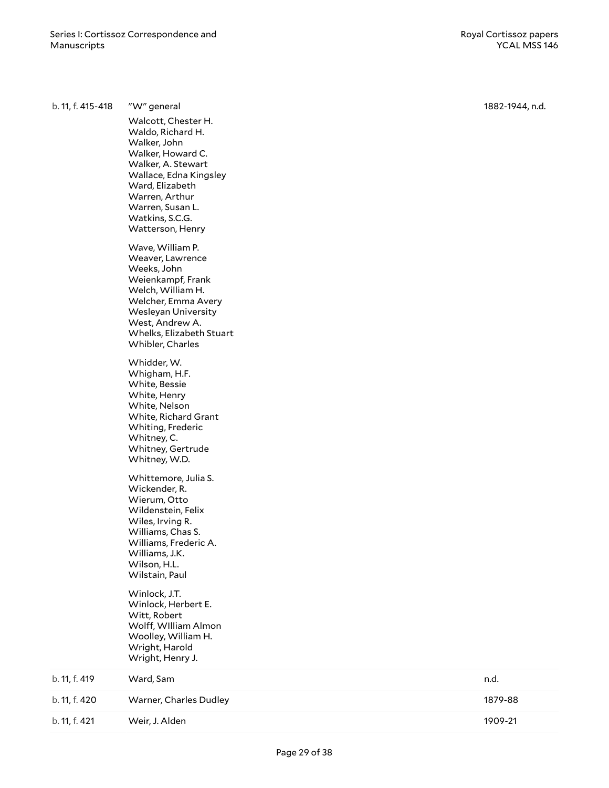b. 11, f. 420

b. 11, f. 421

| b. 11, f. 415-418 | "W" general<br>Walcott, Chester H.<br>Waldo, Richard H.<br>Walker, John<br>Walker, Howard C.<br>Walker, A. Stewart<br>Wallace, Edna Kingsley<br>Ward, Elizabeth<br>Warren, Arthur<br>Warren, Susan L.<br>Watkins, S.C.G.<br>Watterson, Henry |
|-------------------|----------------------------------------------------------------------------------------------------------------------------------------------------------------------------------------------------------------------------------------------|
|                   | Wave, William P.<br>Weaver, Lawrence<br>Weeks, John<br>Weienkampf, Frank<br>Welch, William H.<br>Welcher, Emma Avery<br><b>Wesleyan University</b><br>West, Andrew A.<br>Whelks, Elizabeth Stuart<br>Whibler, Charles                        |
|                   | Whidder, W.<br>Whigham, H.F.<br>White, Bessie<br>White, Henry<br>White, Nelson<br>White, Richard Grant<br>Whiting, Frederic<br>Whitney, C.<br>Whitney, Gertrude<br>Whitney, W.D.                                                             |
|                   | Whittemore, Julia S.<br>Wickender, R.<br>Wierum, Otto<br>Wildenstein, Felix<br>Wiles, Irving R.<br>Williams, Chas S.<br>Williams, Frederic A.<br>Williams, J.K.<br>Wilson, H.L.<br>Wilstain, Paul                                            |
|                   | Winlock, J.T.<br>Winlock, Herbert E.<br>Witt, Robert<br>Wolff, William Almon<br>Woolley, William H.<br>Wright, Harold<br>Wright, Henry J.                                                                                                    |
| b. 11, f. 419     | Ward, Sam                                                                                                                                                                                                                                    |

Warner, Charles Dudley

Weir, J. Alden

1882-1944, n.d.

n . d .

1 8 7 9 - 8 8

1 9 0 9 - 2 1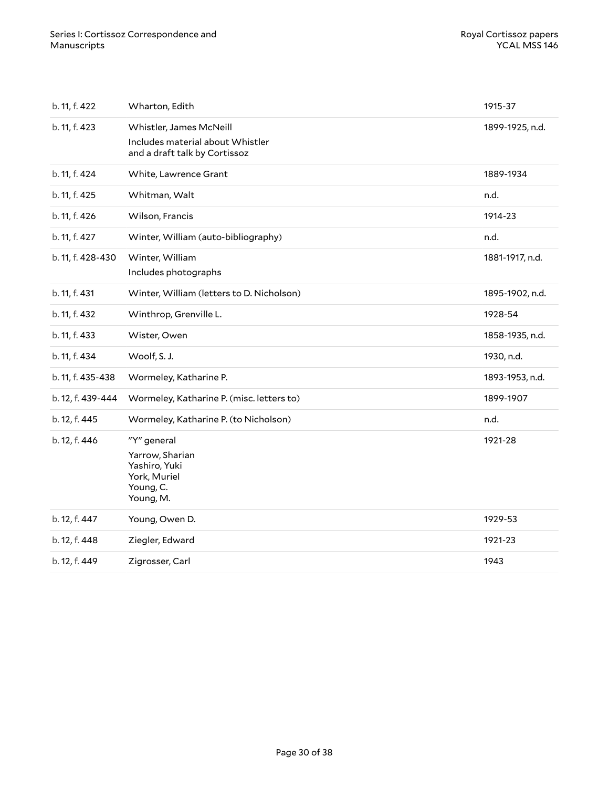| b. 11, f. 422     | Wharton, Edith                                                                               | 1915-37         |
|-------------------|----------------------------------------------------------------------------------------------|-----------------|
| b. 11, f. 423     | Whistler, James McNeill<br>Includes material about Whistler<br>and a draft talk by Cortissoz | 1899-1925, n.d. |
| b. 11, f. 424     | White, Lawrence Grant                                                                        | 1889-1934       |
| b. 11, f. 425     | Whitman, Walt                                                                                | n.d.            |
| b. 11, f. 426     | Wilson, Francis                                                                              | 1914-23         |
| b. 11, f. 427     | Winter, William (auto-bibliography)                                                          | n.d.            |
| b. 11, f. 428-430 | Winter, William<br>Includes photographs                                                      | 1881-1917, n.d. |
| b. 11, f. 431     | Winter, William (letters to D. Nicholson)                                                    | 1895-1902, n.d. |
| b. 11, f. 432     | Winthrop, Grenville L.                                                                       | 1928-54         |
| b. 11, f. 433     | Wister, Owen                                                                                 | 1858-1935, n.d. |
| b. 11, f. 434     | Woolf, S. J.                                                                                 | 1930, n.d.      |
| b. 11, f. 435-438 | Wormeley, Katharine P.                                                                       | 1893-1953, n.d. |
| b. 12, f. 439-444 | Wormeley, Katharine P. (misc. letters to)                                                    | 1899-1907       |
| b. 12, f. 445     | Wormeley, Katharine P. (to Nicholson)                                                        | n.d.            |
| b. 12, f. 446     | "Y" general<br>Yarrow, Sharian<br>Yashiro, Yuki<br>York, Muriel<br>Young, C.<br>Young, M.    | 1921-28         |
| b. 12, f. 447     | Young, Owen D.                                                                               | 1929-53         |
| b. 12, f. 448     | Ziegler, Edward                                                                              | 1921-23         |
| b. 12, f. 449     | Zigrosser, Carl                                                                              | 1943            |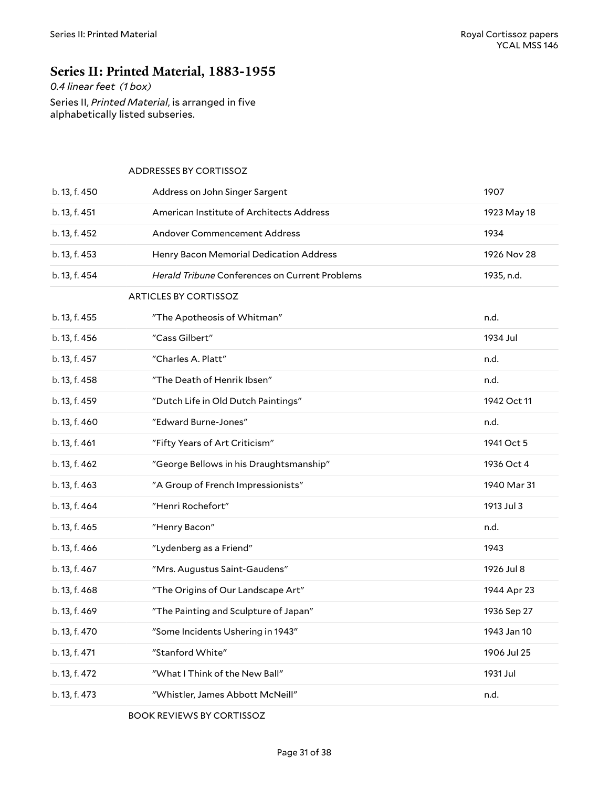### <span id="page-30-0"></span>**Series II: Printed Material, 1883-1955**

*0.4 linear feet (1 box)*

Series II, *Printed Material*, is arranged in five alphabetically listed subseries.

#### <span id="page-30-2"></span><span id="page-30-1"></span>ADDRESSES BY CORTISSOZ

| b. 13, f. 450 | Address on John Singer Sargent                 | 1907        |
|---------------|------------------------------------------------|-------------|
| b. 13, f. 451 | American Institute of Architects Address       | 1923 May 18 |
| b. 13, f. 452 | <b>Andover Commencement Address</b>            | 1934        |
| b. 13, f. 453 | Henry Bacon Memorial Dedication Address        | 1926 Nov 28 |
| b. 13, f. 454 | Herald Tribune Conferences on Current Problems | 1935, n.d.  |
|               | <b>ARTICLES BY CORTISSOZ</b>                   |             |
| b. 13, f. 455 | "The Apotheosis of Whitman"                    | n.d.        |
| b. 13, f. 456 | "Cass Gilbert"                                 | 1934 Jul    |
| b. 13, f. 457 | "Charles A. Platt"                             | n.d.        |
| b. 13, f. 458 | "The Death of Henrik Ibsen"                    | n.d.        |
| b. 13, f. 459 | "Dutch Life in Old Dutch Paintings"            | 1942 Oct 11 |
| b. 13, f. 460 | "Edward Burne-Jones"                           | n.d.        |
| b. 13, f. 461 | "Fifty Years of Art Criticism"                 | 1941 Oct 5  |
| b. 13, f. 462 | "George Bellows in his Draughtsmanship"        | 1936 Oct 4  |
| b. 13, f. 463 | "A Group of French Impressionists"             | 1940 Mar 31 |
| b. 13, f. 464 | "Henri Rochefort"                              | 1913 Jul 3  |
| b. 13, f. 465 | "Henry Bacon"                                  | n.d.        |
| b. 13, f. 466 | "Lydenberg as a Friend"                        | 1943        |
| b. 13, f. 467 | "Mrs. Augustus Saint-Gaudens"                  | 1926 Jul 8  |
| b. 13, f. 468 | "The Origins of Our Landscape Art"             | 1944 Apr 23 |
| b. 13, f. 469 | "The Painting and Sculpture of Japan"          | 1936 Sep 27 |
| b. 13, f. 470 | "Some Incidents Ushering in 1943"              | 1943 Jan 10 |
| b. 13, f. 471 | "Stanford White"                               | 1906 Jul 25 |
| b. 13, f. 472 | "What I Think of the New Ball"                 | 1931 Jul    |
| b. 13, f. 473 | "Whistler, James Abbott McNeill"               | n.d.        |

<span id="page-30-3"></span>BOOK REVIEWS BY CORTISSOZ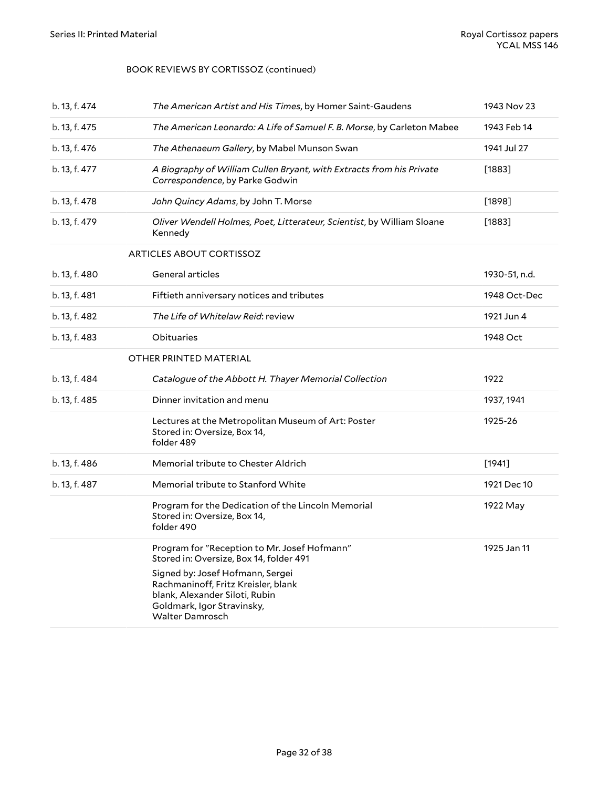#### BOOK REVIEWS BY CORTISSOZ (continued)

<span id="page-31-1"></span><span id="page-31-0"></span>

| b. 13, f. 474 | The American Artist and His Times, by Homer Saint-Gaudens                                                                                                                                                                                                    | 1943 Nov 23   |
|---------------|--------------------------------------------------------------------------------------------------------------------------------------------------------------------------------------------------------------------------------------------------------------|---------------|
| b. 13, f. 475 | The American Leonardo: A Life of Samuel F. B. Morse, by Carleton Mabee                                                                                                                                                                                       | 1943 Feb 14   |
| b. 13, f. 476 | The Athenaeum Gallery, by Mabel Munson Swan                                                                                                                                                                                                                  | 1941 Jul 27   |
| b. 13, f. 477 | A Biography of William Cullen Bryant, with Extracts from his Private<br>Correspondence, by Parke Godwin                                                                                                                                                      | $[1883]$      |
| b. 13, f. 478 | John Quincy Adams, by John T. Morse                                                                                                                                                                                                                          | $[1898]$      |
| b. 13, f. 479 | Oliver Wendell Holmes, Poet, Litterateur, Scientist, by William Sloane<br>Kennedy                                                                                                                                                                            | $[1883]$      |
|               | <b>ARTICLES ABOUT CORTISSOZ</b>                                                                                                                                                                                                                              |               |
| b. 13, f. 480 | General articles                                                                                                                                                                                                                                             | 1930-51, n.d. |
| b. 13, f. 481 | Fiftieth anniversary notices and tributes                                                                                                                                                                                                                    | 1948 Oct-Dec  |
| b. 13, f. 482 | The Life of Whitelaw Reid: review                                                                                                                                                                                                                            | 1921 Jun 4    |
| b. 13, f. 483 | Obituaries                                                                                                                                                                                                                                                   | 1948 Oct      |
|               | OTHER PRINTED MATERIAL                                                                                                                                                                                                                                       |               |
| b. 13, f. 484 | Catalogue of the Abbott H. Thayer Memorial Collection                                                                                                                                                                                                        | 1922          |
| b. 13, f. 485 | Dinner invitation and menu                                                                                                                                                                                                                                   | 1937, 1941    |
|               | Lectures at the Metropolitan Museum of Art: Poster<br>Stored in: Oversize, Box 14,<br>folder 489                                                                                                                                                             | 1925-26       |
| b. 13, f. 486 | Memorial tribute to Chester Aldrich                                                                                                                                                                                                                          | [1941]        |
| b. 13, f. 487 | Memorial tribute to Stanford White                                                                                                                                                                                                                           | 1921 Dec 10   |
|               | Program for the Dedication of the Lincoln Memorial<br>Stored in: Oversize, Box 14,<br>folder 490                                                                                                                                                             | 1922 May      |
|               | Program for "Reception to Mr. Josef Hofmann"<br>Stored in: Oversize, Box 14, folder 491<br>Signed by: Josef Hofmann, Sergei<br>Rachmaninoff, Fritz Kreisler, blank<br>blank, Alexander Siloti, Rubin<br>Goldmark, Igor Stravinsky,<br><b>Walter Damrosch</b> | 1925 Jan 11   |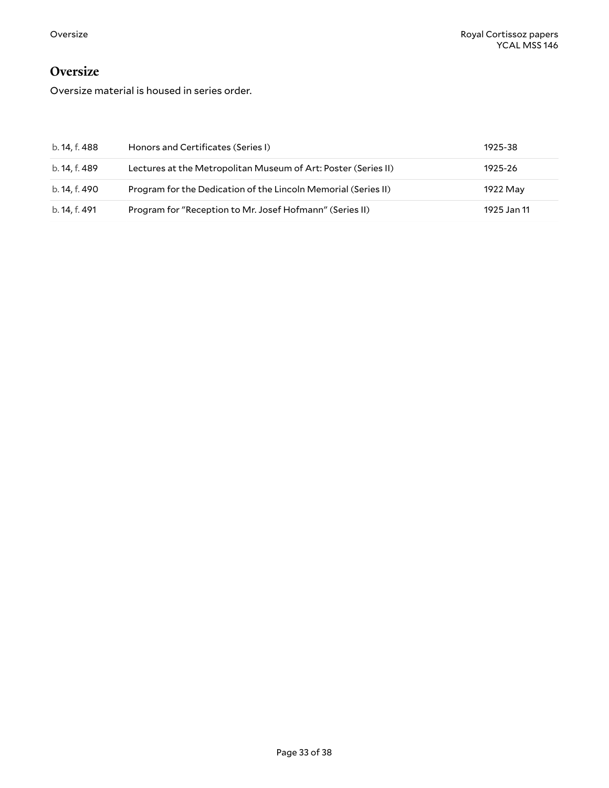### <span id="page-32-0"></span>**Oversize**

Oversize material is housed in series order.

| b. 14, f. 488 | Honors and Certificates (Series I)                             | 1925-38     |
|---------------|----------------------------------------------------------------|-------------|
| b. 14, f. 489 | Lectures at the Metropolitan Museum of Art: Poster (Series II) | 1925-26     |
| b. 14, f. 490 | Program for the Dedication of the Lincoln Memorial (Series II) | 1922 May    |
| b. 14, f. 491 | Program for "Reception to Mr. Josef Hofmann" (Series II)       | 1925 Jan 11 |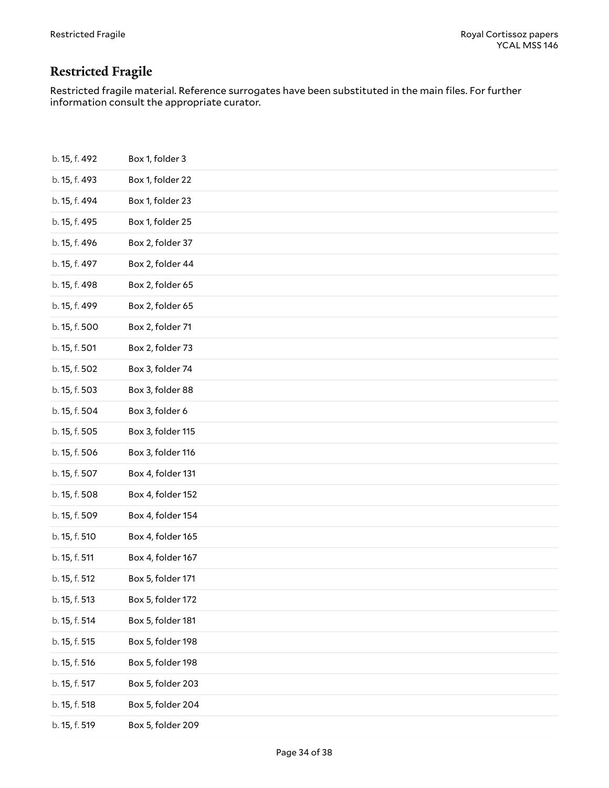# <span id="page-33-0"></span>**Restricted Fragile**

Restricted fragile material. Reference surrogates have been substituted in the main files. For further information consult the appropriate curator.

| b. 15, f. 492 | Box 1, folder 3   |
|---------------|-------------------|
| b. 15, f. 493 | Box 1, folder 22  |
| b. 15, f. 494 | Box 1, folder 23  |
| b. 15, f. 495 | Box 1, folder 25  |
| b. 15, f. 496 | Box 2, folder 37  |
| b. 15, f. 497 | Box 2, folder 44  |
| b. 15, f. 498 | Box 2, folder 65  |
| b. 15, f. 499 | Box 2, folder 65  |
| b. 15, f. 500 | Box 2, folder 71  |
| b. 15, f. 501 | Box 2, folder 73  |
| b. 15, f. 502 | Box 3, folder 74  |
| b. 15, f. 503 | Box 3, folder 88  |
| b. 15, f. 504 | Box 3, folder 6   |
| b. 15, f. 505 | Box 3, folder 115 |
| b. 15, f. 506 | Box 3, folder 116 |
| b. 15, f. 507 | Box 4, folder 131 |
| b. 15, f. 508 | Box 4, folder 152 |
| b. 15, f. 509 | Box 4, folder 154 |
| b. 15, f. 510 | Box 4, folder 165 |
| b. 15, f. 511 | Box 4, folder 167 |
| b. 15, f. 512 | Box 5, folder 171 |
| b. 15, f. 513 | Box 5, folder 172 |
| b. 15, f. 514 | Box 5, folder 181 |
| b. 15, f. 515 | Box 5, folder 198 |
| b. 15, f. 516 | Box 5, folder 198 |
| b. 15, f. 517 | Box 5, folder 203 |
| b. 15, f. 518 | Box 5, folder 204 |
| b. 15, f. 519 | Box 5, folder 209 |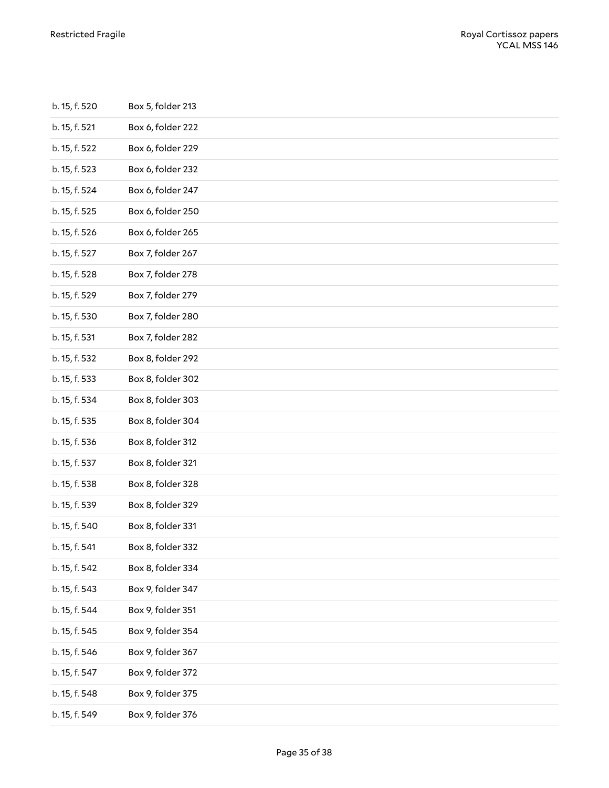| b. 15, f. 520 | Box 5, folder 213 |
|---------------|-------------------|
| b. 15, f. 521 | Box 6, folder 222 |
| b. 15, f. 522 | Box 6, folder 229 |
| b. 15, f. 523 | Box 6, folder 232 |
| b. 15, f. 524 | Box 6, folder 247 |
| b. 15, f. 525 | Box 6, folder 250 |
| b. 15, f. 526 | Box 6, folder 265 |
| b. 15, f. 527 | Box 7, folder 267 |
| b. 15, f. 528 | Box 7, folder 278 |
| b. 15, f. 529 | Box 7, folder 279 |
| b. 15, f. 530 | Box 7, folder 280 |
| b. 15, f. 531 | Box 7, folder 282 |
| b. 15, f. 532 | Box 8, folder 292 |
| b. 15, f. 533 | Box 8, folder 302 |
| b. 15, f. 534 | Box 8, folder 303 |
| b. 15, f. 535 | Box 8, folder 304 |
| b. 15, f. 536 | Box 8, folder 312 |
| b. 15, f. 537 | Box 8, folder 321 |
| b. 15, f. 538 | Box 8, folder 328 |
| b. 15, f. 539 | Box 8, folder 329 |
| b. 15, f. 540 | Box 8, folder 331 |
| b. 15, f. 541 | Box 8, folder 332 |
| b. 15, f. 542 | Box 8, folder 334 |
| b. 15, f. 543 | Box 9, folder 347 |
| b. 15, f. 544 | Box 9, folder 351 |
| b. 15, f. 545 | Box 9, folder 354 |
| b. 15, f. 546 | Box 9, folder 367 |
| b. 15, f. 547 | Box 9, folder 372 |
| b. 15, f. 548 | Box 9, folder 375 |
| b. 15, f. 549 | Box 9, folder 376 |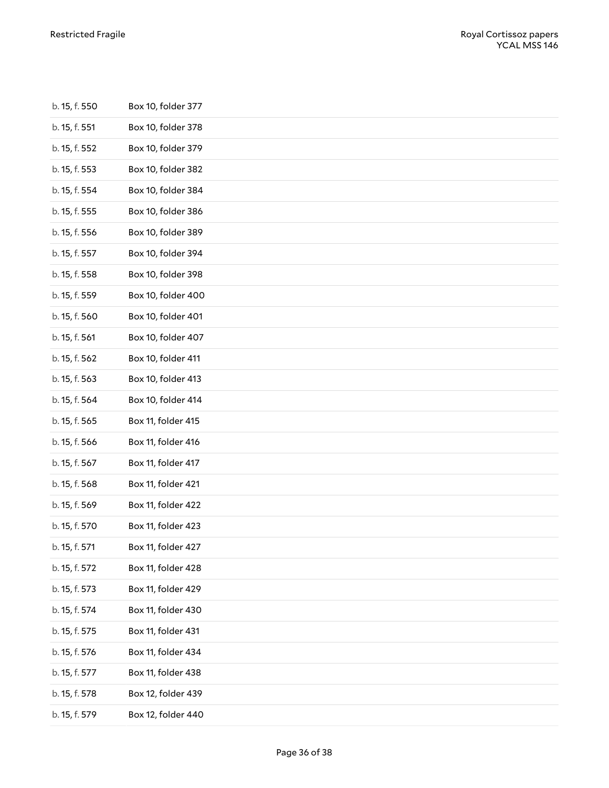| b. 15, f. 550 | Box 10, folder 377 |
|---------------|--------------------|
| b. 15, f. 551 | Box 10, folder 378 |
| b. 15, f. 552 | Box 10, folder 379 |
| b. 15, f. 553 | Box 10, folder 382 |
| b. 15, f. 554 | Box 10, folder 384 |
| b. 15, f. 555 | Box 10, folder 386 |
| b. 15, f. 556 | Box 10, folder 389 |
| b. 15, f. 557 | Box 10, folder 394 |
| b. 15, f. 558 | Box 10, folder 398 |
| b. 15, f. 559 | Box 10, folder 400 |
| b. 15, f. 560 | Box 10, folder 401 |
| b. 15, f. 561 | Box 10, folder 407 |
| b. 15, f. 562 | Box 10, folder 411 |
| b. 15, f. 563 | Box 10, folder 413 |
| b. 15, f. 564 | Box 10, folder 414 |
| b. 15, f. 565 | Box 11, folder 415 |
| b. 15, f. 566 | Box 11, folder 416 |
| b. 15, f. 567 | Box 11, folder 417 |
| b. 15, f. 568 | Box 11, folder 421 |
| b. 15, f. 569 | Box 11, folder 422 |
| b. 15, f. 570 | Box 11, folder 423 |
| b. 15, f. 571 | Box 11, folder 427 |
| b. 15, f. 572 | Box 11, folder 428 |
| b. 15, f. 573 | Box 11, folder 429 |
| b. 15, f. 574 | Box 11, folder 430 |
| b. 15, f. 575 | Box 11, folder 431 |
| b. 15, f. 576 | Box 11, folder 434 |
| b. 15, f. 577 | Box 11, folder 438 |
| b. 15, f. 578 | Box 12, folder 439 |
| b. 15, f. 579 | Box 12, folder 440 |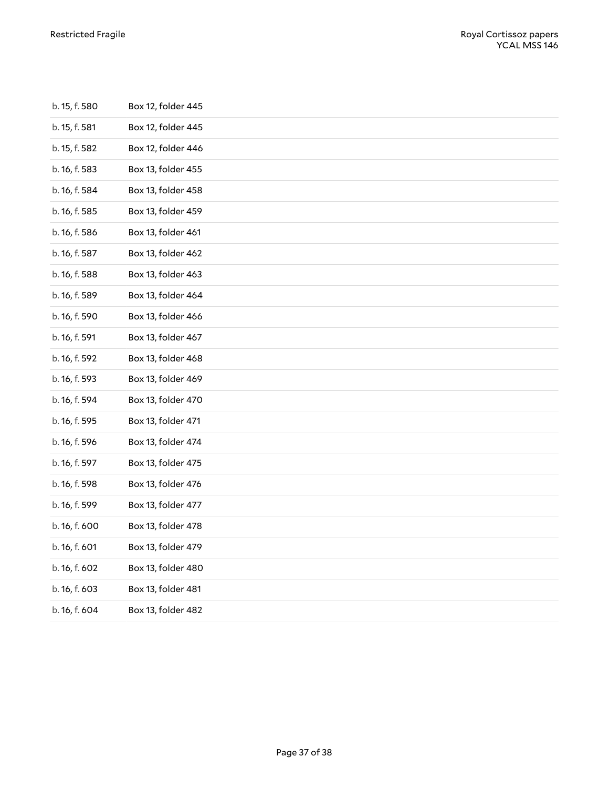| b. 15, f. 580 | Box 12, folder 445 |
|---------------|--------------------|
| b. 15, f. 581 | Box 12, folder 445 |
| b. 15, f. 582 | Box 12, folder 446 |
| b. 16, f. 583 | Box 13, folder 455 |
| b. 16, f. 584 | Box 13, folder 458 |
| b. 16, f. 585 | Box 13, folder 459 |
| b. 16, f. 586 | Box 13, folder 461 |
| b. 16, f. 587 | Box 13, folder 462 |
| b. 16, f. 588 | Box 13, folder 463 |
| b. 16, f. 589 | Box 13, folder 464 |
| b. 16, f. 590 | Box 13, folder 466 |
| b. 16, f. 591 | Box 13, folder 467 |
| b. 16, f. 592 | Box 13, folder 468 |
| b. 16, f. 593 | Box 13, folder 469 |
| b. 16, f. 594 | Box 13, folder 470 |
| b. 16, f. 595 | Box 13, folder 471 |
| b. 16, f. 596 | Box 13, folder 474 |
| b. 16, f. 597 | Box 13, folder 475 |
| b. 16, f. 598 | Box 13, folder 476 |
| b. 16, f. 599 | Box 13, folder 477 |
| b. 16, f. 600 | Box 13, folder 478 |
| b. 16, f. 601 | Box 13, folder 479 |
| b. 16, f. 602 | Box 13, folder 480 |
| b. 16, f. 603 | Box 13, folder 481 |
| b. 16, f. 604 | Box 13, folder 482 |